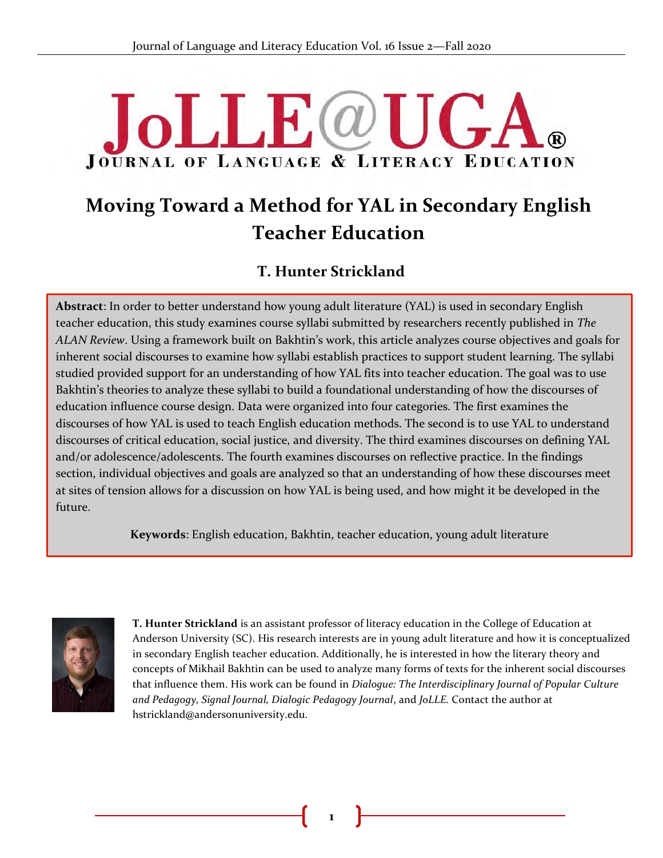# $JJJF(\omega U)$ **JOURNAL OF LANGUAGE & LITERACY EDUCATION**

## **Moving Toward a Method for YAL in Secondary English Teacher Education**

## **T. Hunter Strickland**

**Abstract**: In order to better understand how young adult literature (YAL) is used in secondary English & teacher education, this study examines course syllabi submitted by researchers recently published in *The ALAN Review*. Using a framework built on Bakhtin's work, this article analyzes course objectives and goals for inherent social discourses to examine how syllabi establish practices to support student learning. The syllabi studied provided support for an understanding of how YAL fits into teacher education. The goal was to use Bakhtin's theories to analyze these syllabi to build a foundational understanding of how the discourses of education influence course design. Data were organized into four categories. The first examines the discourses of how YAL is used to teach English education methods. The second is to use YAL to understand discourses of critical education, social justice, and diversity. The third examines discourses on defining YAL and/or adolescence/adolescents. The fourth examines discourses on reflective practice. In the findings section, individual objectives and goals are analyzed so that an understanding of how these discourses meet at sites of tension allows for a discussion on how YAL is being used, and how might it be developed in the future.

**Keywords**: English education, Bakhtin, teacher education, young adult literature



**T. Hunter Strickland** is an assistant professor of literacy education in the College of Education at Anderson University (SC). His research interests are in young adult literature and how it is conceptualized in secondary English teacher education. Additionally, he is interested in how the literary theory and concepts of Mikhail Bakhtin can be used to analyze many forms of texts for the inherent social discourses that influence them. His work can be found in *Dialogue: The Interdisciplinary Journal of Popular Culture and Pedagogy, Signal Journal, Dialogic Pedagogy Journal*, and *JoLLE.* Contact the author at hstrickland@andersonuniversity.edu.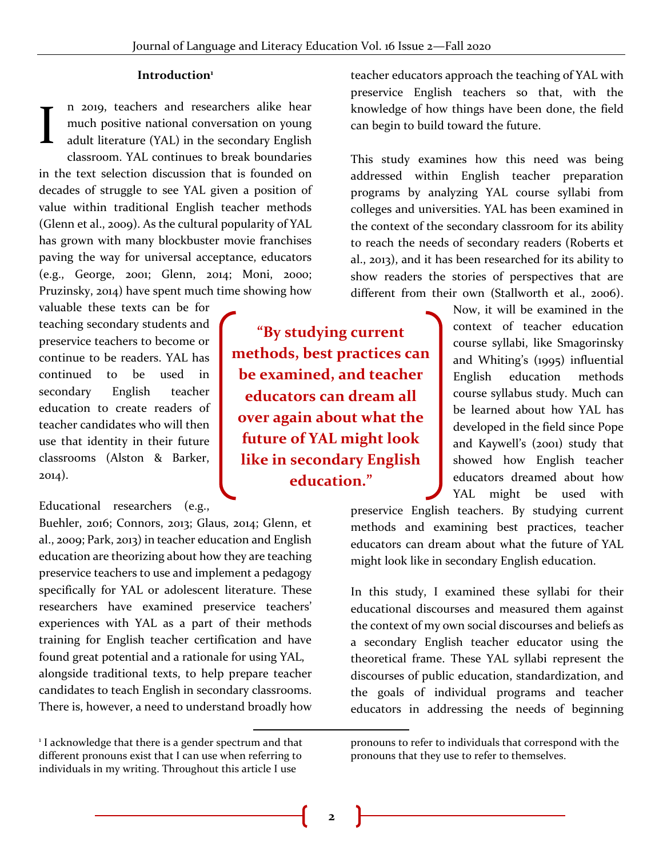#### **Introduction<sup>1</sup>**

n 2019, teachers and researchers alike hear much positive national conversation on young adult literature (YAL) in the secondary English classroom. YAL continues to break boundaries in the text selection discussion that is founded on decades of struggle to see YAL given a position of value within traditional English teacher methods (Glenn et al., 2009). As the cultural popularity of YAL has grown with many blockbuster movie franchises paving the way for universal acceptance, educators (e.g., George, 2001; Glenn, 2014; Moni, 2000; Pruzinsky, 2014) have spent much time showing how I

valuable these texts can be for teaching secondary students and preservice teachers to become or continue to be readers. YAL has continued to be used in secondary English teacher education to create readers of teacher candidates who will then use that identity in their future classrooms (Alston & Barker, 2014).

Educational researchers (e.g.,

Buehler, 2016; Connors, 2013; Glaus, 2014; Glenn, et al., 2009; Park, 2013) in teacher education and English education are theorizing about how they are teaching preservice teachers to use and implement a pedagogy specifically for YAL or adolescent literature. These researchers have examined preservice teachers' experiences with YAL as a part of their methods training for English teacher certification and have found great potential and a rationale for using YAL, alongside traditional texts, to help prepare teacher candidates to teach English in secondary classrooms. There is, however, a need to understand broadly how

**"By studying current methods, best practices can be examined, and teacher educators can dream all over again about what the future of YAL might look like in secondary English education."**

teacher educators approach the teaching of YAL with preservice English teachers so that, with the knowledge of how things have been done, the field can begin to build toward the future.

This study examines how this need was being addressed within English teacher preparation programs by analyzing YAL course syllabi from colleges and universities. YAL has been examined in the context of the secondary classroom for its ability to reach the needs of secondary readers (Roberts et al., 2013), and it has been researched for its ability to show readers the stories of perspectives that are different from their own (Stallworth et al., 2006).

> Now, it will be examined in the context of teacher education course syllabi, like Smagorinsky and Whiting's (1995) influential English education methods course syllabus study. Much can be learned about how YAL has developed in the field since Pope and Kaywell's (2001) study that showed how English teacher educators dreamed about how YAL might be used with

preservice English teachers. By studying current methods and examining best practices, teacher educators can dream about what the future of YAL might look like in secondary English education.

In this study, I examined these syllabi for their educational discourses and measured them against the context of my own social discourses and beliefs as a secondary English teacher educator using the theoretical frame. These YAL syllabi represent the discourses of public education, standardization, and the goals of individual programs and teacher educators in addressing the needs of beginning

<sup>&</sup>lt;sup>1</sup> I acknowledge that there is a gender spectrum and that different pronouns exist that I can use when referring to individuals in my writing. Throughout this article I use

pronouns to refer to individuals that correspond with the pronouns that they use to refer to themselves.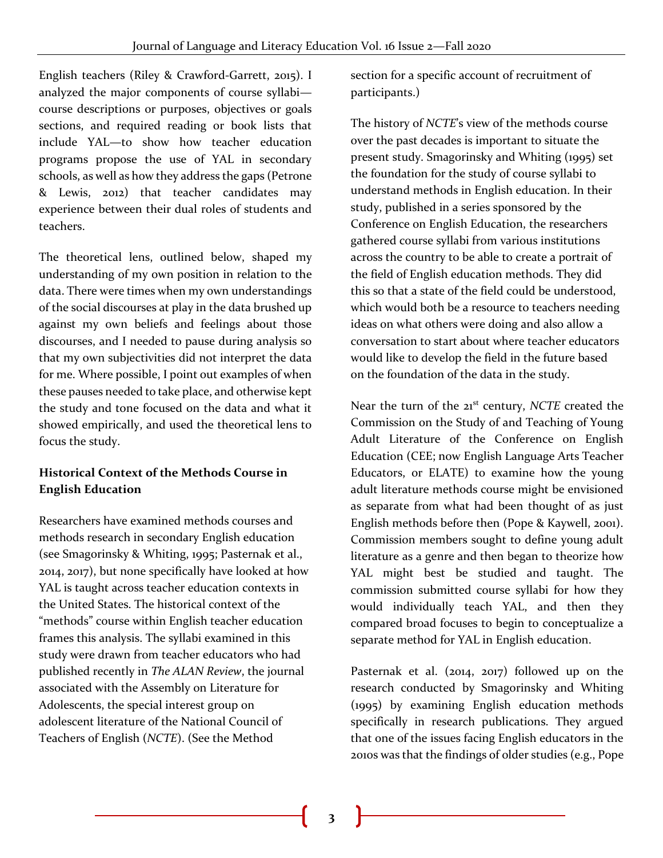English teachers (Riley & Crawford-Garrett, 2015). I analyzed the major components of course syllabi course descriptions or purposes, objectives or goals sections, and required reading or book lists that include YAL—to show how teacher education programs propose the use of YAL in secondary schools, as well as how they address the gaps (Petrone & Lewis, 2012) that teacher candidates may experience between their dual roles of students and teachers.

The theoretical lens, outlined below, shaped my understanding of my own position in relation to the data. There were times when my own understandings of the social discourses at play in the data brushed up against my own beliefs and feelings about those discourses, and I needed to pause during analysis so that my own subjectivities did not interpret the data for me. Where possible, I point out examples of when these pauses needed to take place, and otherwise kept the study and tone focused on the data and what it showed empirically, and used the theoretical lens to focus the study.

## **Historical Context of the Methods Course in English Education**

Researchers have examined methods courses and methods research in secondary English education (see Smagorinsky & Whiting, 1995; Pasternak et al., 2014, 2017), but none specifically have looked at how YAL is taught across teacher education contexts in the United States. The historical context of the "methods" course within English teacher education frames this analysis. The syllabi examined in this study were drawn from teacher educators who had published recently in *The ALAN Review*, the journal associated with the Assembly on Literature for Adolescents, the special interest group on adolescent literature of the National Council of Teachers of English (*NCTE*). (See the Method

section for a specific account of recruitment of participants.)

The history of *NCTE*'s view of the methods course over the past decades is important to situate the present study. Smagorinsky and Whiting (1995) set the foundation for the study of course syllabi to understand methods in English education. In their study, published in a series sponsored by the Conference on English Education, the researchers gathered course syllabi from various institutions across the country to be able to create a portrait of the field of English education methods. They did this so that a state of the field could be understood, which would both be a resource to teachers needing ideas on what others were doing and also allow a conversation to start about where teacher educators would like to develop the field in the future based on the foundation of the data in the study.

Near the turn of the 21<sup>st</sup> century, *NCTE* created the Commission on the Study of and Teaching of Young Adult Literature of the Conference on English Education (CEE; now English Language Arts Teacher Educators, or ELATE) to examine how the young adult literature methods course might be envisioned as separate from what had been thought of as just English methods before then (Pope & Kaywell, 2001). Commission members sought to define young adult literature as a genre and then began to theorize how YAL might best be studied and taught. The commission submitted course syllabi for how they would individually teach YAL, and then they compared broad focuses to begin to conceptualize a separate method for YAL in English education.

Pasternak et al. (2014, 2017) followed up on the research conducted by Smagorinsky and Whiting (1995) by examining English education methods specifically in research publications. They argued that one of the issues facing English educators in the 2010s was that the findings of older studies (e.g., Pope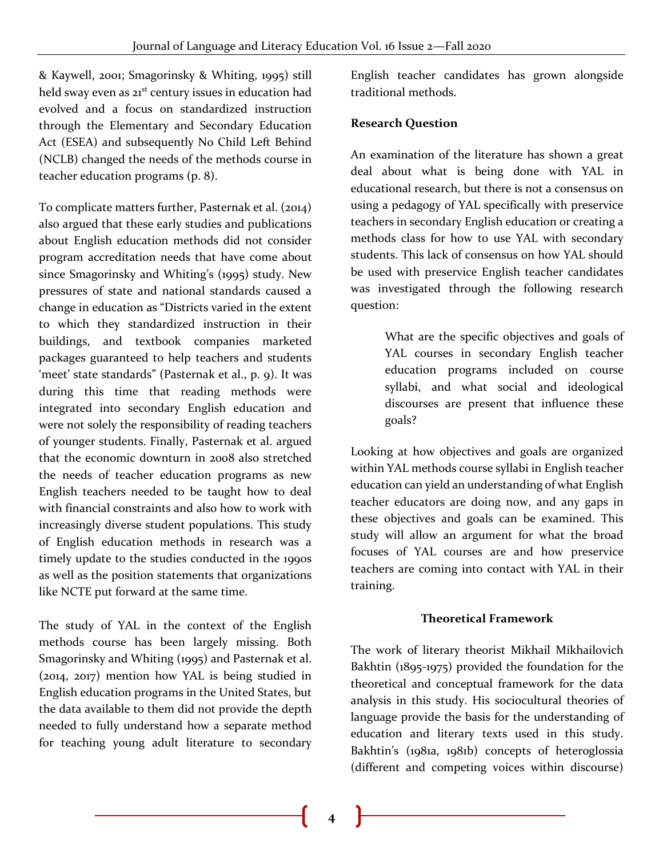& Kaywell, 2001; Smagorinsky & Whiting, 1995) still held sway even as 21<sup>st</sup> century issues in education had evolved and a focus on standardized instruction through the Elementary and Secondary Education Act (ESEA) and subsequently No Child Left Behind (NCLB) changed the needs of the methods course in teacher education programs (p. 8).

To complicate matters further, Pasternak et al. (2014) also argued that these early studies and publications about English education methods did not consider program accreditation needs that have come about since Smagorinsky and Whiting's (1995) study. New pressures of state and national standards caused a change in education as "Districts varied in the extent to which they standardized instruction in their buildings, and textbook companies marketed packages guaranteed to help teachers and students 'meet' state standards" (Pasternak et al., p. 9). It was during this time that reading methods were integrated into secondary English education and were not solely the responsibility of reading teachers of younger students. Finally, Pasternak et al. argued that the economic downturn in 2008 also stretched the needs of teacher education programs as new English teachers needed to be taught how to deal with financial constraints and also how to work with increasingly diverse student populations. This study of English education methods in research was a timely update to the studies conducted in the 1990s as well as the position statements that organizations like NCTE put forward at the same time.

The study of YAL in the context of the English methods course has been largely missing. Both Smagorinsky and Whiting (1995) and Pasternak et al. (2014, 2017) mention how YAL is being studied in English education programs in the United States, but the data available to them did not provide the depth needed to fully understand how a separate method for teaching young adult literature to secondary

English teacher candidates has grown alongside traditional methods.

#### **Research Question**

An examination of the literature has shown a great deal about what is being done with YAL in educational research, but there is not a consensus on using a pedagogy of YAL specifically with preservice teachers in secondary English education or creating a methods class for how to use YAL with secondary students. This lack of consensus on how YAL should be used with preservice English teacher candidates was investigated through the following research question:

> What are the specific objectives and goals of YAL courses in secondary English teacher education programs included on course syllabi, and what social and ideological discourses are present that influence these goals?

Looking at how objectives and goals are organized within YAL methods course syllabi in English teacher education can yield an understanding of what English teacher educators are doing now, and any gaps in these objectives and goals can be examined. This study will allow an argument for what the broad focuses of YAL courses are and how preservice teachers are coming into contact with YAL in their training.

#### **Theoretical Framework**

The work of literary theorist Mikhail Mikhailovich Bakhtin (1895-1975) provided the foundation for the theoretical and conceptual framework for the data analysis in this study. His sociocultural theories of language provide the basis for the understanding of education and literary texts used in this study. Bakhtin's (1981a, 1981b) concepts of heteroglossia (different and competing voices within discourse)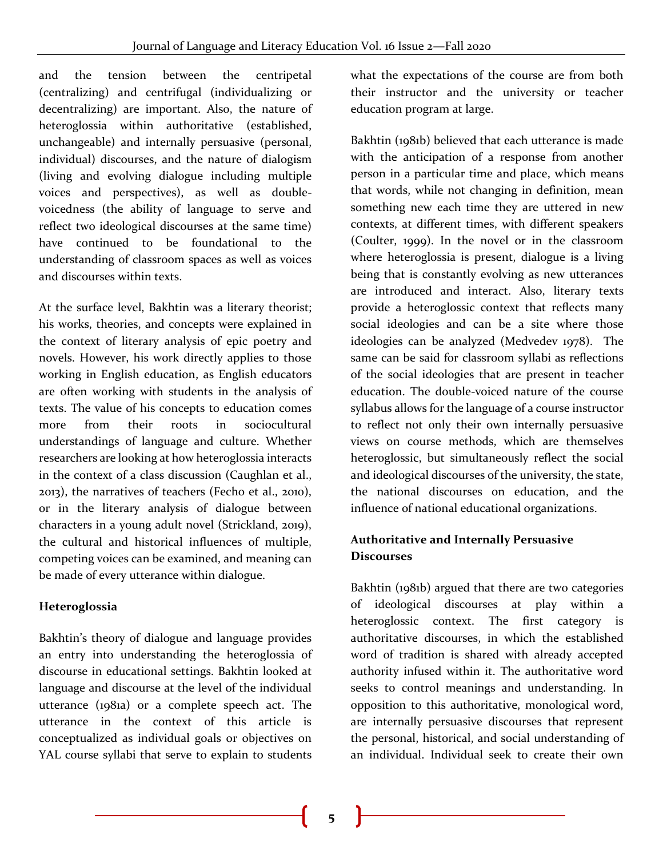and the tension between the centripetal (centralizing) and centrifugal (individualizing or decentralizing) are important. Also, the nature of heteroglossia within authoritative (established, unchangeable) and internally persuasive (personal, individual) discourses, and the nature of dialogism (living and evolving dialogue including multiple voices and perspectives), as well as doublevoicedness (the ability of language to serve and reflect two ideological discourses at the same time) have continued to be foundational to the understanding of classroom spaces as well as voices and discourses within texts.

At the surface level, Bakhtin was a literary theorist; his works, theories, and concepts were explained in the context of literary analysis of epic poetry and novels. However, his work directly applies to those working in English education, as English educators are often working with students in the analysis of texts. The value of his concepts to education comes more from their roots in sociocultural understandings of language and culture. Whether researchers are looking at how heteroglossia interacts in the context of a class discussion (Caughlan et al., 2013), the narratives of teachers (Fecho et al., 2010), or in the literary analysis of dialogue between characters in a young adult novel (Strickland, 2019), the cultural and historical influences of multiple, competing voices can be examined, and meaning can be made of every utterance within dialogue.

## **Heteroglossia**

Bakhtin's theory of dialogue and language provides an entry into understanding the heteroglossia of discourse in educational settings. Bakhtin looked at language and discourse at the level of the individual utterance (1981a) or a complete speech act. The utterance in the context of this article is conceptualized as individual goals or objectives on YAL course syllabi that serve to explain to students

what the expectations of the course are from both their instructor and the university or teacher education program at large.

Bakhtin (1981b) believed that each utterance is made with the anticipation of a response from another person in a particular time and place, which means that words, while not changing in definition, mean something new each time they are uttered in new contexts, at different times, with different speakers (Coulter, 1999). In the novel or in the classroom where heteroglossia is present, dialogue is a living being that is constantly evolving as new utterances are introduced and interact. Also, literary texts provide a heteroglossic context that reflects many social ideologies and can be a site where those ideologies can be analyzed (Medvedev 1978). The same can be said for classroom syllabi as reflections of the social ideologies that are present in teacher education. The double-voiced nature of the course syllabus allows for the language of a course instructor to reflect not only their own internally persuasive views on course methods, which are themselves heteroglossic, but simultaneously reflect the social and ideological discourses of the university, the state, the national discourses on education, and the influence of national educational organizations.

## **Authoritative and Internally Persuasive Discourses**

Bakhtin (1981b) argued that there are two categories of ideological discourses at play within a heteroglossic context. The first category is authoritative discourses, in which the established word of tradition is shared with already accepted authority infused within it. The authoritative word seeks to control meanings and understanding. In opposition to this authoritative, monological word, are internally persuasive discourses that represent the personal, historical, and social understanding of an individual. Individual seek to create their own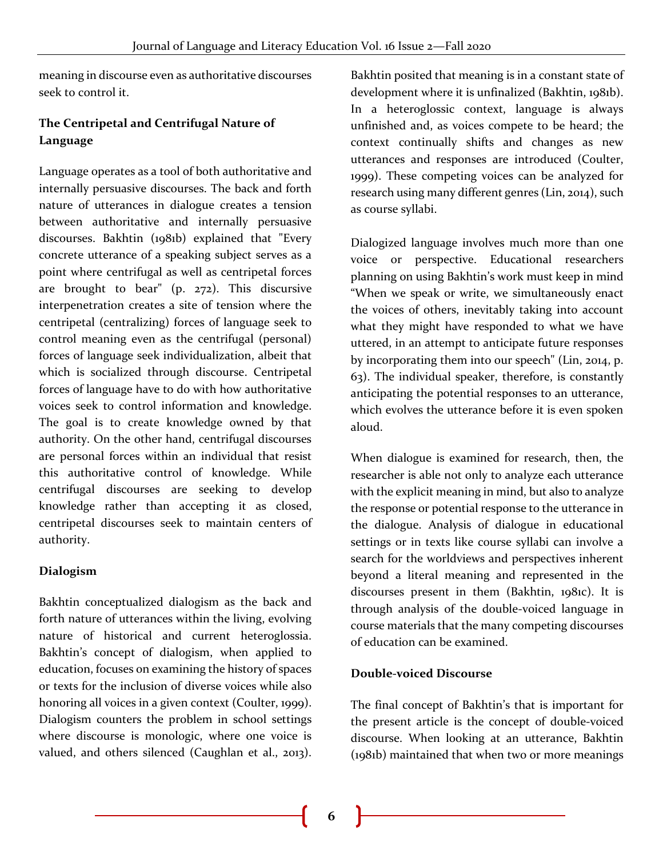meaning in discourse even as authoritative discourses seek to control it.

## **The Centripetal and Centrifugal Nature of Language**

Language operates as a tool of both authoritative and internally persuasive discourses. The back and forth nature of utterances in dialogue creates a tension between authoritative and internally persuasive discourses. Bakhtin (1981b) explained that "Every concrete utterance of a speaking subject serves as a point where centrifugal as well as centripetal forces are brought to bear" (p. 272). This discursive interpenetration creates a site of tension where the centripetal (centralizing) forces of language seek to control meaning even as the centrifugal (personal) forces of language seek individualization, albeit that which is socialized through discourse. Centripetal forces of language have to do with how authoritative voices seek to control information and knowledge. The goal is to create knowledge owned by that authority. On the other hand, centrifugal discourses are personal forces within an individual that resist this authoritative control of knowledge. While centrifugal discourses are seeking to develop knowledge rather than accepting it as closed, centripetal discourses seek to maintain centers of authority.

## **Dialogism**

Bakhtin conceptualized dialogism as the back and forth nature of utterances within the living, evolving nature of historical and current heteroglossia. Bakhtin's concept of dialogism, when applied to education, focuses on examining the history of spaces or texts for the inclusion of diverse voices while also honoring all voices in a given context (Coulter, 1999). Dialogism counters the problem in school settings where discourse is monologic, where one voice is valued, and others silenced (Caughlan et al., 2013).

Bakhtin posited that meaning is in a constant state of development where it is unfinalized (Bakhtin, 1981b). In a heteroglossic context, language is always unfinished and, as voices compete to be heard; the context continually shifts and changes as new utterances and responses are introduced (Coulter, 1999). These competing voices can be analyzed for research using many different genres (Lin, 2014), such as course syllabi.

Dialogized language involves much more than one voice or perspective. Educational researchers planning on using Bakhtin's work must keep in mind "When we speak or write, we simultaneously enact the voices of others, inevitably taking into account what they might have responded to what we have uttered, in an attempt to anticipate future responses by incorporating them into our speech" (Lin, 2014, p. 63). The individual speaker, therefore, is constantly anticipating the potential responses to an utterance, which evolves the utterance before it is even spoken aloud.

When dialogue is examined for research, then, the researcher is able not only to analyze each utterance with the explicit meaning in mind, but also to analyze the response or potential response to the utterance in the dialogue. Analysis of dialogue in educational settings or in texts like course syllabi can involve a search for the worldviews and perspectives inherent beyond a literal meaning and represented in the discourses present in them (Bakhtin, 1981c). It is through analysis of the double-voiced language in course materials that the many competing discourses of education can be examined.

## **Double-voiced Discourse**

The final concept of Bakhtin's that is important for the present article is the concept of double-voiced discourse. When looking at an utterance, Bakhtin (1981b) maintained that when two or more meanings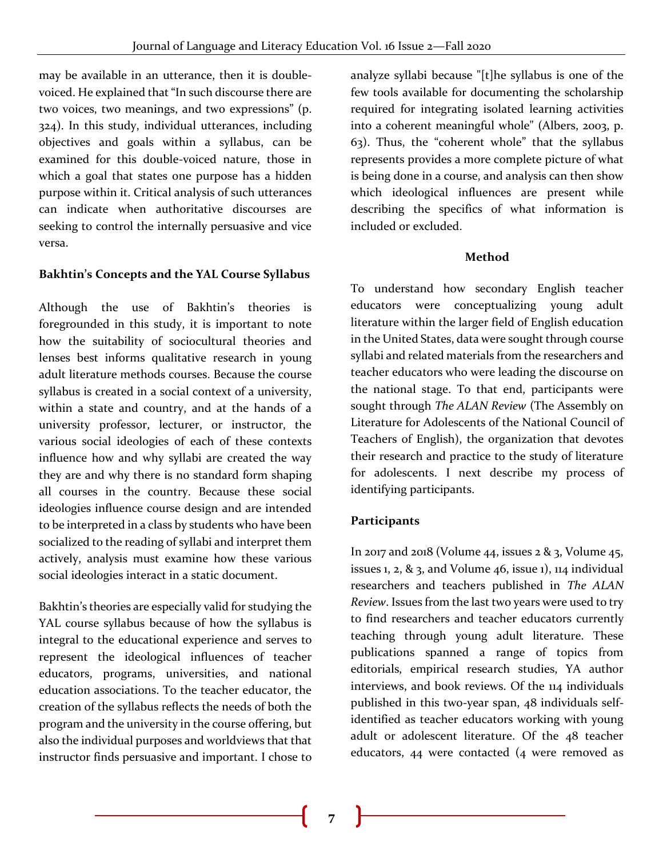may be available in an utterance, then it is doublevoiced. He explained that "In such discourse there are two voices, two meanings, and two expressions" (p. 324). In this study, individual utterances, including objectives and goals within a syllabus, can be examined for this double-voiced nature, those in which a goal that states one purpose has a hidden purpose within it. Critical analysis of such utterances can indicate when authoritative discourses are seeking to control the internally persuasive and vice versa.

## **Bakhtin's Concepts and the YAL Course Syllabus**

Although the use of Bakhtin's theories is foregrounded in this study, it is important to note how the suitability of sociocultural theories and lenses best informs qualitative research in young adult literature methods courses. Because the course syllabus is created in a social context of a university, within a state and country, and at the hands of a university professor, lecturer, or instructor, the various social ideologies of each of these contexts influence how and why syllabi are created the way they are and why there is no standard form shaping all courses in the country. Because these social ideologies influence course design and are intended to be interpreted in a class by students who have been socialized to the reading of syllabi and interpret them actively, analysis must examine how these various social ideologies interact in a static document.

Bakhtin's theories are especially valid for studying the YAL course syllabus because of how the syllabus is integral to the educational experience and serves to represent the ideological influences of teacher educators, programs, universities, and national education associations. To the teacher educator, the creation of the syllabus reflects the needs of both the program and the university in the course offering, but also the individual purposes and worldviews that that instructor finds persuasive and important. I chose to

analyze syllabi because "[t]he syllabus is one of the few tools available for documenting the scholarship required for integrating isolated learning activities into a coherent meaningful whole" (Albers, 2003, p. 63). Thus, the "coherent whole" that the syllabus represents provides a more complete picture of what is being done in a course, and analysis can then show which ideological influences are present while describing the specifics of what information is included or excluded.

#### **Method**

To understand how secondary English teacher educators were conceptualizing young adult literature within the larger field of English education in the United States, data were sought through course syllabi and related materials from the researchers and teacher educators who were leading the discourse on the national stage. To that end, participants were sought through *The ALAN Review* (The Assembly on Literature for Adolescents of the National Council of Teachers of English), the organization that devotes their research and practice to the study of literature for adolescents. I next describe my process of identifying participants.

## **Participants**

In 2017 and 2018 (Volume 44, issues  $2 \& 3$ , Volume 45, issues 1, 2,  $\&$  3, and Volume 46, issue 1), 114 individual researchers and teachers published in *The ALAN Review*. Issues from the last two years were used to try to find researchers and teacher educators currently teaching through young adult literature. These publications spanned a range of topics from editorials, empirical research studies, YA author interviews, and book reviews. Of the 114 individuals published in this two-year span, 48 individuals selfidentified as teacher educators working with young adult or adolescent literature. Of the 48 teacher educators, 44 were contacted (4 were removed as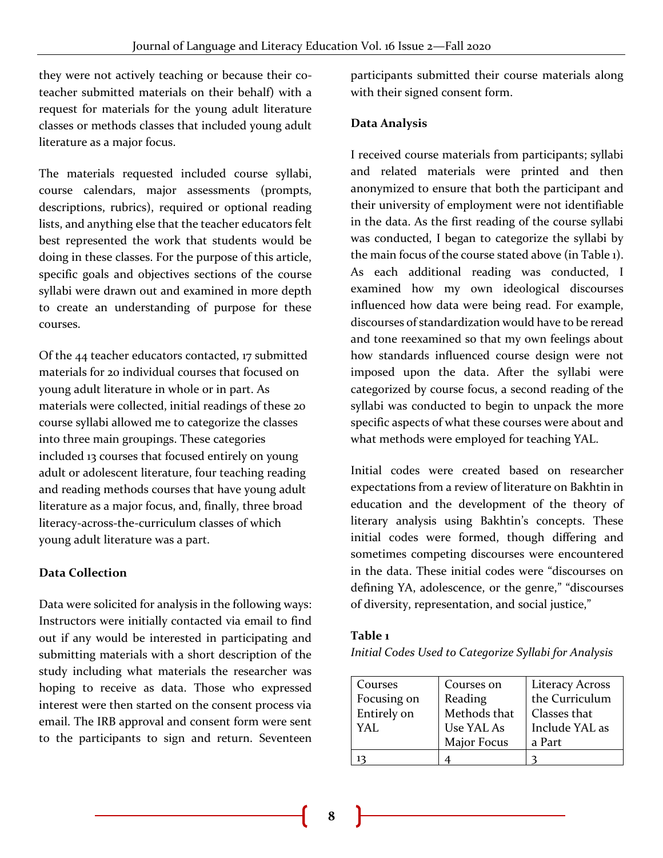they were not actively teaching or because their coteacher submitted materials on their behalf) with a request for materials for the young adult literature classes or methods classes that included young adult literature as a major focus.

The materials requested included course syllabi, course calendars, major assessments (prompts, descriptions, rubrics), required or optional reading lists, and anything else that the teacher educators felt best represented the work that students would be doing in these classes. For the purpose of this article, specific goals and objectives sections of the course syllabi were drawn out and examined in more depth to create an understanding of purpose for these courses.

Of the 44 teacher educators contacted, 17 submitted materials for 20 individual courses that focused on young adult literature in whole or in part. As materials were collected, initial readings of these 20 course syllabi allowed me to categorize the classes into three main groupings. These categories included 13 courses that focused entirely on young adult or adolescent literature, four teaching reading and reading methods courses that have young adult literature as a major focus, and, finally, three broad literacy-across-the-curriculum classes of which young adult literature was a part.

## **Data Collection**

Data were solicited for analysis in the following ways: Instructors were initially contacted via email to find out if any would be interested in participating and submitting materials with a short description of the study including what materials the researcher was hoping to receive as data. Those who expressed interest were then started on the consent process via email. The IRB approval and consent form were sent to the participants to sign and return. Seventeen

participants submitted their course materials along with their signed consent form.

## **Data Analysis**

I received course materials from participants; syllabi and related materials were printed and then anonymized to ensure that both the participant and their university of employment were not identifiable in the data. As the first reading of the course syllabi was conducted, I began to categorize the syllabi by the main focus of the course stated above (in Table 1). As each additional reading was conducted, I examined how my own ideological discourses influenced how data were being read. For example, discourses of standardization would have to be reread and tone reexamined so that my own feelings about how standards influenced course design were not imposed upon the data. After the syllabi were categorized by course focus, a second reading of the syllabi was conducted to begin to unpack the more specific aspects of what these courses were about and what methods were employed for teaching YAL.

Initial codes were created based on researcher expectations from a review of literature on Bakhtin in education and the development of the theory of literary analysis using Bakhtin's concepts. These initial codes were formed, though differing and sometimes competing discourses were encountered in the data. These initial codes were "discourses on defining YA, adolescence, or the genre," "discourses of diversity, representation, and social justice,"

#### **Table 1**

*Initial Codes Used to Categorize Syllabi for Analysis*

| Courses     | Courses on   | <b>Literacy Across</b> |
|-------------|--------------|------------------------|
| Focusing on | Reading      | the Curriculum         |
| Entirely on | Methods that | Classes that           |
| YAL         | Use YAL As   | Include YAL as         |
|             | Major Focus  | a Part                 |
|             |              |                        |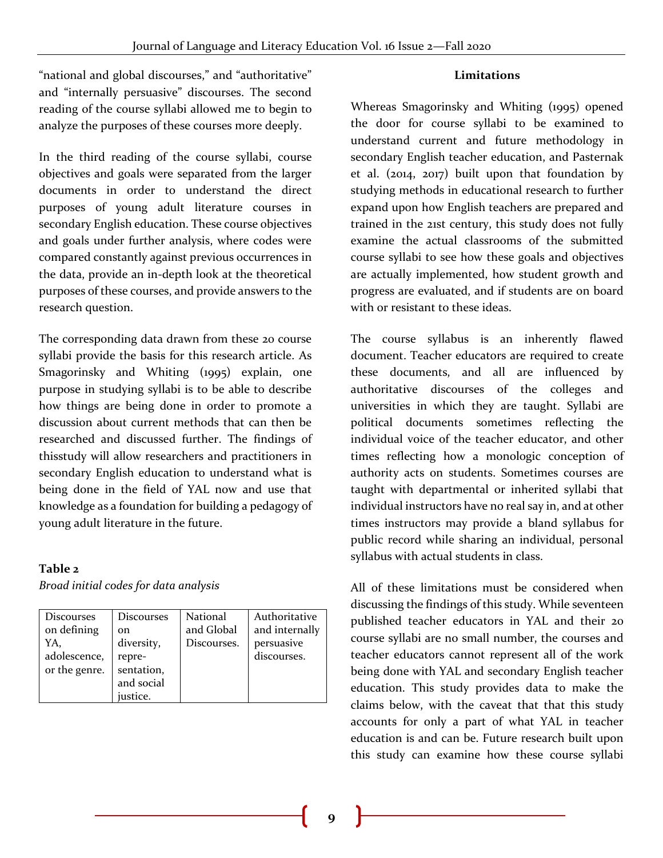#### **Limitations**

"national and global discourses," and "authoritative" and "internally persuasive" discourses. The second reading of the course syllabi allowed me to begin to analyze the purposes of these courses more deeply.

In the third reading of the course syllabi, course objectives and goals were separated from the larger documents in order to understand the direct purposes of young adult literature courses in secondary English education. These course objectives and goals under further analysis, where codes were compared constantly against previous occurrences in the data, provide an in-depth look at the theoretical purposes of these courses, and provide answers to the research question.

The corresponding data drawn from these 20 course syllabi provide the basis for this research article. As Smagorinsky and Whiting (1995) explain, one purpose in studying syllabi is to be able to describe how things are being done in order to promote a discussion about current methods that can then be researched and discussed further. The findings of thisstudy will allow researchers and practitioners in secondary English education to understand what is being done in the field of YAL now and use that knowledge as a foundation for building a pedagogy of young adult literature in the future.

#### **Table 2**

*Broad initial codes for data analysis* 

| <b>Discourses</b> | Discourses    | National    | Authoritative  |
|-------------------|---------------|-------------|----------------|
| on defining       | <sub>on</sub> | and Global  | and internally |
| YA,               | diversity,    | Discourses. | persuasive     |
| adolescence,      | repre-        |             | discourses.    |
| or the genre.     | sentation,    |             |                |
|                   | and social    |             |                |
|                   | justice.      |             |                |

Whereas Smagorinsky and Whiting (1995) opened the door for course syllabi to be examined to understand current and future methodology in secondary English teacher education, and Pasternak et al. (2014, 2017) built upon that foundation by studying methods in educational research to further expand upon how English teachers are prepared and trained in the 21st century, this study does not fully examine the actual classrooms of the submitted course syllabi to see how these goals and objectives are actually implemented, how student growth and progress are evaluated, and if students are on board with or resistant to these ideas.

The course syllabus is an inherently flawed document. Teacher educators are required to create these documents, and all are influenced by authoritative discourses of the colleges and universities in which they are taught. Syllabi are political documents sometimes reflecting the individual voice of the teacher educator, and other times reflecting how a monologic conception of authority acts on students. Sometimes courses are taught with departmental or inherited syllabi that individual instructors have no real say in, and at other times instructors may provide a bland syllabus for public record while sharing an individual, personal syllabus with actual students in class.

All of these limitations must be considered when discussing the findings of this study. While seventeen published teacher educators in YAL and their 20 course syllabi are no small number, the courses and teacher educators cannot represent all of the work being done with YAL and secondary English teacher education. This study provides data to make the claims below, with the caveat that that this study accounts for only a part of what YAL in teacher education is and can be. Future research built upon this study can examine how these course syllabi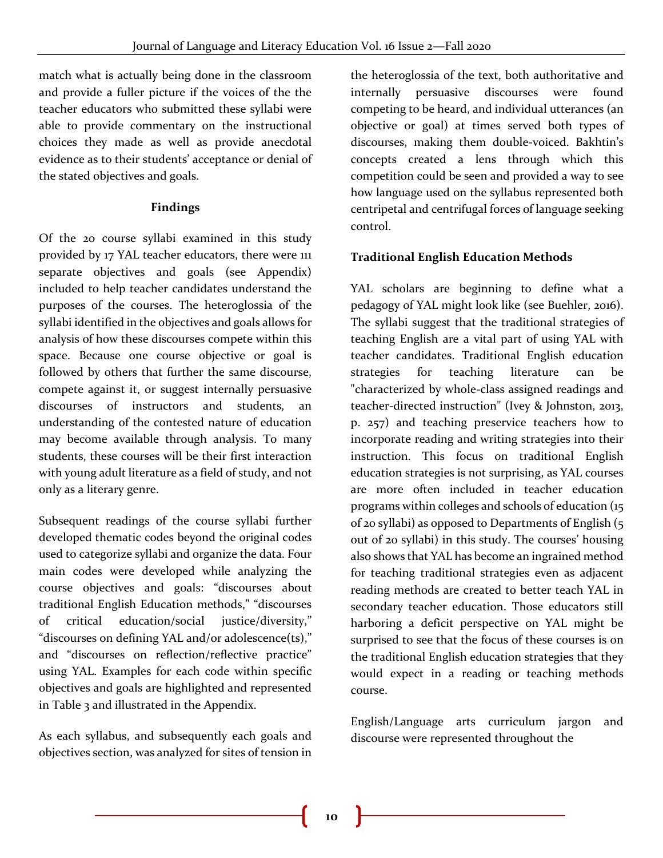match what is actually being done in the classroom and provide a fuller picture if the voices of the the teacher educators who submitted these syllabi were able to provide commentary on the instructional choices they made as well as provide anecdotal evidence as to their students' acceptance or denial of the stated objectives and goals.

## **Findings**

Of the 20 course syllabi examined in this study provided by 17 YAL teacher educators, there were 111 separate objectives and goals (see Appendix) included to help teacher candidates understand the purposes of the courses. The heteroglossia of the syllabi identified in the objectives and goals allows for analysis of how these discourses compete within this space. Because one course objective or goal is followed by others that further the same discourse, compete against it, or suggest internally persuasive discourses of instructors and students, an understanding of the contested nature of education may become available through analysis. To many students, these courses will be their first interaction with young adult literature as a field of study, and not only as a literary genre.

Subsequent readings of the course syllabi further developed thematic codes beyond the original codes used to categorize syllabi and organize the data. Four main codes were developed while analyzing the course objectives and goals: "discourses about traditional English Education methods," "discourses of critical education/social justice/diversity," "discourses on defining YAL and/or adolescence(ts)," and "discourses on reflection/reflective practice" using YAL. Examples for each code within specific objectives and goals are highlighted and represented in Table 3 and illustrated in the Appendix.

As each syllabus, and subsequently each goals and objectives section, was analyzed for sites of tension in the heteroglossia of the text, both authoritative and internally persuasive discourses were found competing to be heard, and individual utterances (an objective or goal) at times served both types of discourses, making them double-voiced. Bakhtin's concepts created a lens through which this competition could be seen and provided a way to see how language used on the syllabus represented both centripetal and centrifugal forces of language seeking control.

## **Traditional English Education Methods**

YAL scholars are beginning to define what a pedagogy of YAL might look like (see Buehler, 2016). The syllabi suggest that the traditional strategies of teaching English are a vital part of using YAL with teacher candidates. Traditional English education strategies for teaching literature can be "characterized by whole-class assigned readings and teacher-directed instruction" (Ivey & Johnston, 2013, p. 257) and teaching preservice teachers how to incorporate reading and writing strategies into their instruction. This focus on traditional English education strategies is not surprising, as YAL courses are more often included in teacher education programs within colleges and schools of education (15 of 20 syllabi) as opposed to Departments of English (5 out of 20 syllabi) in this study. The courses' housing also shows that YAL has become an ingrained method for teaching traditional strategies even as adjacent reading methods are created to better teach YAL in secondary teacher education. Those educators still harboring a deficit perspective on YAL might be surprised to see that the focus of these courses is on the traditional English education strategies that they would expect in a reading or teaching methods course.

English/Language arts curriculum jargon and discourse were represented throughout the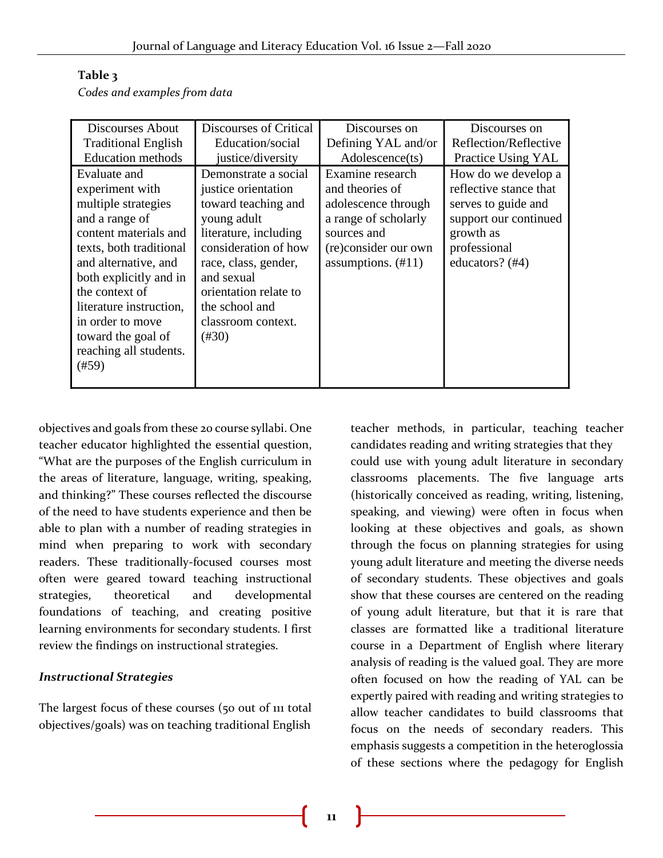|  | Codes and examples from data |  |  |
|--|------------------------------|--|--|

| Discourses About                                                                                                                                                                                                                                                                                         | Discourses of Critical                                                                                                                                                                                                                                | Discourses on                                                                                                                                             | Discourses on                                                                                                                                 |
|----------------------------------------------------------------------------------------------------------------------------------------------------------------------------------------------------------------------------------------------------------------------------------------------------------|-------------------------------------------------------------------------------------------------------------------------------------------------------------------------------------------------------------------------------------------------------|-----------------------------------------------------------------------------------------------------------------------------------------------------------|-----------------------------------------------------------------------------------------------------------------------------------------------|
| <b>Traditional English</b>                                                                                                                                                                                                                                                                               | Education/social                                                                                                                                                                                                                                      | Defining YAL and/or                                                                                                                                       | Reflection/Reflective                                                                                                                         |
| <b>Education</b> methods                                                                                                                                                                                                                                                                                 | justice/diversity                                                                                                                                                                                                                                     | Adolescence(ts)                                                                                                                                           | Practice Using YAL                                                                                                                            |
| Evaluate and<br>experiment with<br>multiple strategies<br>and a range of<br>content materials and<br>texts, both traditional<br>and alternative, and<br>both explicitly and in<br>the context of<br>literature instruction,<br>in order to move<br>toward the goal of<br>reaching all students.<br>(#59) | Demonstrate a social<br>justice orientation<br>toward teaching and<br>young adult<br>literature, including<br>consideration of how<br>race, class, gender,<br>and sexual<br>orientation relate to<br>the school and<br>classroom context.<br>$(\#30)$ | Examine research<br>and theories of<br>adolescence through<br>a range of scholarly<br>sources and<br>(re)consider our own<br>assumptions. $(\text{\#}11)$ | How do we develop a<br>reflective stance that<br>serves to guide and<br>support our continued<br>growth as<br>professional<br>educators? (#4) |
|                                                                                                                                                                                                                                                                                                          |                                                                                                                                                                                                                                                       |                                                                                                                                                           |                                                                                                                                               |

objectives and goals from these 20 course syllabi. One teacher educator highlighted the essential question, "What are the purposes of the English curriculum in the areas of literature, language, writing, speaking, and thinking?" These courses reflected the discourse of the need to have students experience and then be able to plan with a number of reading strategies in mind when preparing to work with secondary readers. These traditionally-focused courses most often were geared toward teaching instructional strategies, theoretical and developmental foundations of teaching, and creating positive learning environments for secondary students. I first review the findings on instructional strategies.

## *Instructional Strategies*

The largest focus of these courses (50 out of 111 total objectives/goals) was on teaching traditional English

teacher methods, in particular, teaching teacher candidates reading and writing strategies that they could use with young adult literature in secondary classrooms placements. The five language arts (historically conceived as reading, writing, listening, speaking, and viewing) were often in focus when looking at these objectives and goals, as shown through the focus on planning strategies for using young adult literature and meeting the diverse needs of secondary students. These objectives and goals show that these courses are centered on the reading of young adult literature, but that it is rare that classes are formatted like a traditional literature course in a Department of English where literary analysis of reading is the valued goal. They are more often focused on how the reading of YAL can be expertly paired with reading and writing strategies to allow teacher candidates to build classrooms that focus on the needs of secondary readers. This emphasis suggests a competition in the heteroglossia of these sections where the pedagogy for English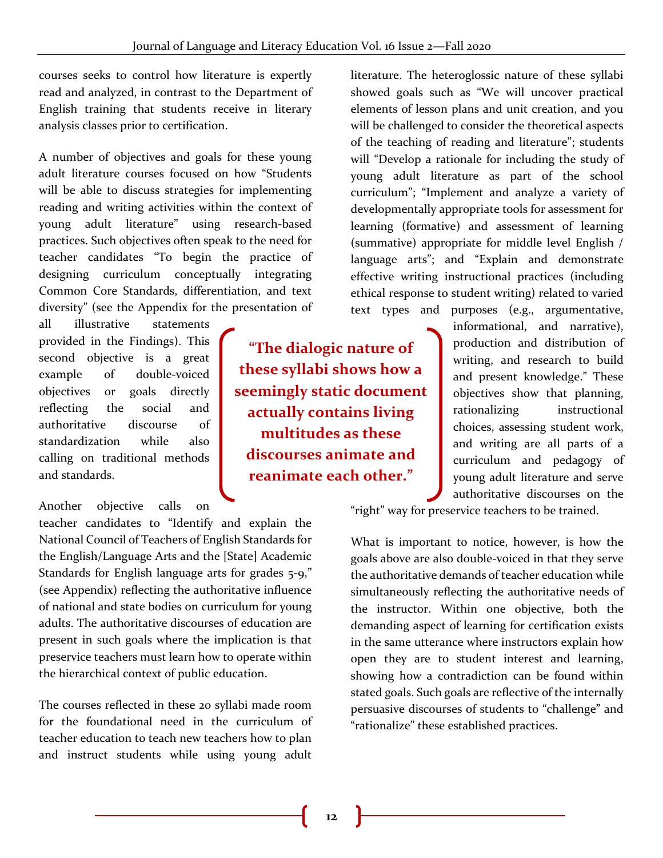courses seeks to control how literature is expertly read and analyzed, in contrast to the Department of English training that students receive in literary analysis classes prior to certification.

A number of objectives and goals for these young adult literature courses focused on how "Students will be able to discuss strategies for implementing reading and writing activities within the context of young adult literature" using research-based practices. Such objectives often speak to the need for teacher candidates "To begin the practice of designing curriculum conceptually integrating Common Core Standards, differentiation, and text diversity" (see the Appendix for the presentation of

all illustrative statements provided in the Findings). This second objective is a great example of double-voiced objectives or goals directly reflecting the social and authoritative discourse of standardization while also calling on traditional methods and standards.

Another objective calls on

teacher candidates to "Identify and explain the National Council of Teachers of English Standards for the English/Language Arts and the [State] Academic Standards for English language arts for grades 5-9," (see Appendix) reflecting the authoritative influence of national and state bodies on curriculum for young adults. The authoritative discourses of education are present in such goals where the implication is that preservice teachers must learn how to operate within the hierarchical context of public education.

The courses reflected in these 20 syllabi made room for the foundational need in the curriculum of teacher education to teach new teachers how to plan and instruct students while using young adult

**"The dialogic nature of these syllabi shows how a seemingly static document actually contains living multitudes as these discourses animate and reanimate each other."**

literature. The heteroglossic nature of these syllabi showed goals such as "We will uncover practical elements of lesson plans and unit creation, and you will be challenged to consider the theoretical aspects of the teaching of reading and literature"; students will "Develop a rationale for including the study of young adult literature as part of the school curriculum"; "Implement and analyze a variety of developmentally appropriate tools for assessment for learning (formative) and assessment of learning (summative) appropriate for middle level English / language arts"; and "Explain and demonstrate effective writing instructional practices (including ethical response to student writing) related to varied text types and purposes (e.g., argumentative,

informational, and narrative), production and distribution of writing, and research to build and present knowledge." These objectives show that planning, rationalizing instructional choices, assessing student work, and writing are all parts of a curriculum and pedagogy of young adult literature and serve authoritative discourses on the

"right" way for preservice teachers to be trained.

What is important to notice, however, is how the goals above are also double-voiced in that they serve the authoritative demands of teacher education while simultaneously reflecting the authoritative needs of the instructor. Within one objective, both the demanding aspect of learning for certification exists in the same utterance where instructors explain how open they are to student interest and learning, showing how a contradiction can be found within stated goals. Such goals are reflective of the internally persuasive discourses of students to "challenge" and "rationalize" these established practices.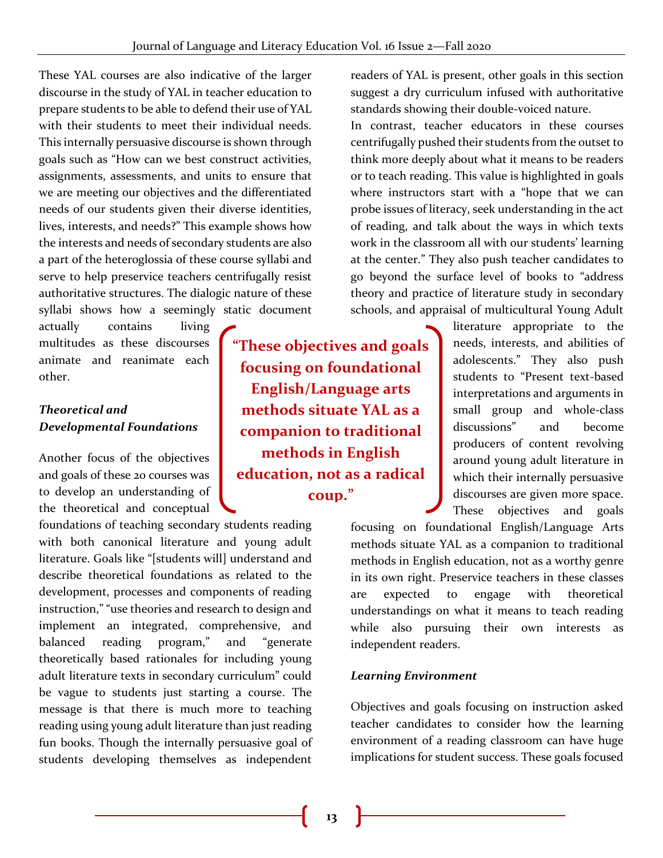These YAL courses are also indicative of the larger discourse in the study of YAL in teacher education to prepare students to be able to defend their use of YAL with their students to meet their individual needs. This internally persuasive discourse is shown through goals such as "How can we best construct activities, assignments, assessments, and units to ensure that we are meeting our objectives and the differentiated needs of our students given their diverse identities, lives, interests, and needs?" This example shows how the interests and needs of secondary students are also a part of the heteroglossia of these course syllabi and serve to help preservice teachers centrifugally resist authoritative structures. The dialogic nature of these syllabi shows how a seemingly static document

actually contains living multitudes as these discourses animate and reanimate each other.

## *Theoretical and Developmental Foundations*

Another focus of the objectives and goals of these 20 courses was to develop an understanding of the theoretical and conceptual

foundations of teaching secondary students reading with both canonical literature and young adult literature. Goals like "[students will] understand and describe theoretical foundations as related to the development, processes and components of reading instruction," "use theories and research to design and implement an integrated, comprehensive, and balanced reading program," and "generate theoretically based rationales for including young adult literature texts in secondary curriculum" could be vague to students just starting a course. The message is that there is much more to teaching reading using young adult literature than just reading fun books. Though the internally persuasive goal of students developing themselves as independent

**"These objectives and goals focusing on foundational English/Language arts methods situate YAL as a companion to traditional methods in English education, not as a radical coup."**

readers of YAL is present, other goals in this section suggest a dry curriculum infused with authoritative standards showing their double-voiced nature.

In contrast, teacher educators in these courses centrifugally pushed their students from the outset to think more deeply about what it means to be readers or to teach reading. This value is highlighted in goals where instructors start with a "hope that we can probe issues of literacy, seek understanding in the act of reading, and talk about the ways in which texts work in the classroom all with our students' learning at the center." They also push teacher candidates to go beyond the surface level of books to "address theory and practice of literature study in secondary schools, and appraisal of multicultural Young Adult

> literature appropriate to the needs, interests, and abilities of adolescents." They also push students to "Present text-based interpretations and arguments in small group and whole-class discussions" and become producers of content revolving around young adult literature in which their internally persuasive discourses are given more space. These objectives and goals

focusing on foundational English/Language Arts methods situate YAL as a companion to traditional methods in English education, not as a worthy genre in its own right. Preservice teachers in these classes are expected to engage with theoretical understandings on what it means to teach reading while also pursuing their own interests as independent readers.

## *Learning Environment*

Objectives and goals focusing on instruction asked teacher candidates to consider how the learning environment of a reading classroom can have huge implications for student success. These goals focused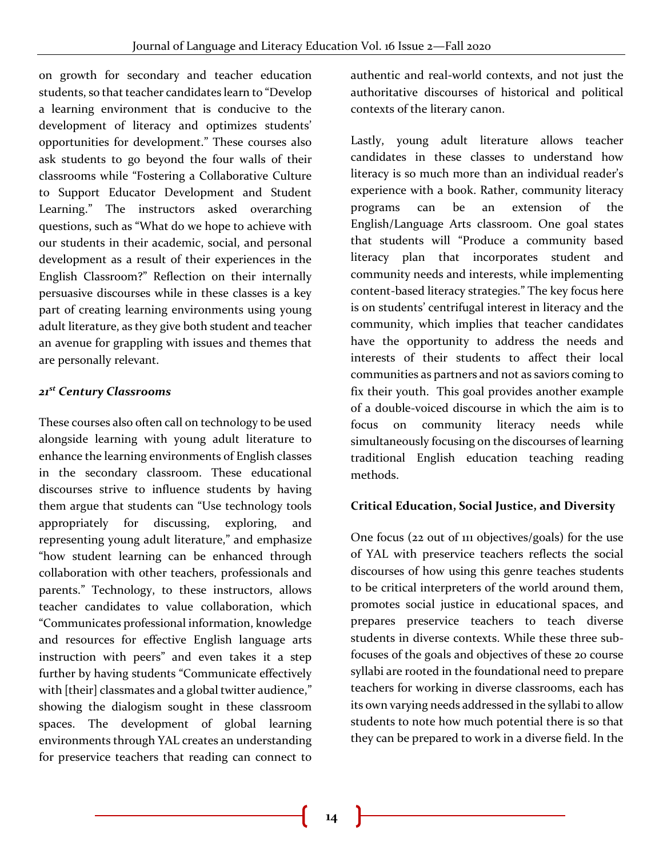on growth for secondary and teacher education students, so that teacher candidates learn to "Develop a learning environment that is conducive to the development of literacy and optimizes students' opportunities for development." These courses also ask students to go beyond the four walls of their classrooms while "Fostering a Collaborative Culture to Support Educator Development and Student Learning." The instructors asked overarching questions, such as "What do we hope to achieve with our students in their academic, social, and personal development as a result of their experiences in the English Classroom?" Reflection on their internally persuasive discourses while in these classes is a key part of creating learning environments using young adult literature, as they give both student and teacher an avenue for grappling with issues and themes that are personally relevant.

## *21st Century Classrooms*

These courses also often call on technology to be used alongside learning with young adult literature to enhance the learning environments of English classes in the secondary classroom. These educational discourses strive to influence students by having them argue that students can "Use technology tools appropriately for discussing, exploring, and representing young adult literature," and emphasize "how student learning can be enhanced through collaboration with other teachers, professionals and parents." Technology, to these instructors, allows teacher candidates to value collaboration, which "Communicates professional information, knowledge and resources for effective English language arts instruction with peers" and even takes it a step further by having students "Communicate effectively with [their] classmates and a global twitter audience," showing the dialogism sought in these classroom spaces. The development of global learning environments through YAL creates an understanding for preservice teachers that reading can connect to

authentic and real-world contexts, and not just the authoritative discourses of historical and political contexts of the literary canon.

Lastly, young adult literature allows teacher candidates in these classes to understand how literacy is so much more than an individual reader's experience with a book. Rather, community literacy programs can be an extension of the English/Language Arts classroom. One goal states that students will "Produce a community based literacy plan that incorporates student and community needs and interests, while implementing content-based literacy strategies." The key focus here is on students' centrifugal interest in literacy and the community, which implies that teacher candidates have the opportunity to address the needs and interests of their students to affect their local communities as partners and not as saviors coming to fix their youth. This goal provides another example of a double-voiced discourse in which the aim is to focus on community literacy needs while simultaneously focusing on the discourses of learning traditional English education teaching reading methods.

## **Critical Education, Social Justice, and Diversity**

One focus (22 out of 111 objectives/goals) for the use of YAL with preservice teachers reflects the social discourses of how using this genre teaches students to be critical interpreters of the world around them, promotes social justice in educational spaces, and prepares preservice teachers to teach diverse students in diverse contexts. While these three subfocuses of the goals and objectives of these 20 course syllabi are rooted in the foundational need to prepare teachers for working in diverse classrooms, each has its own varying needs addressed in the syllabi to allow students to note how much potential there is so that they can be prepared to work in a diverse field. In the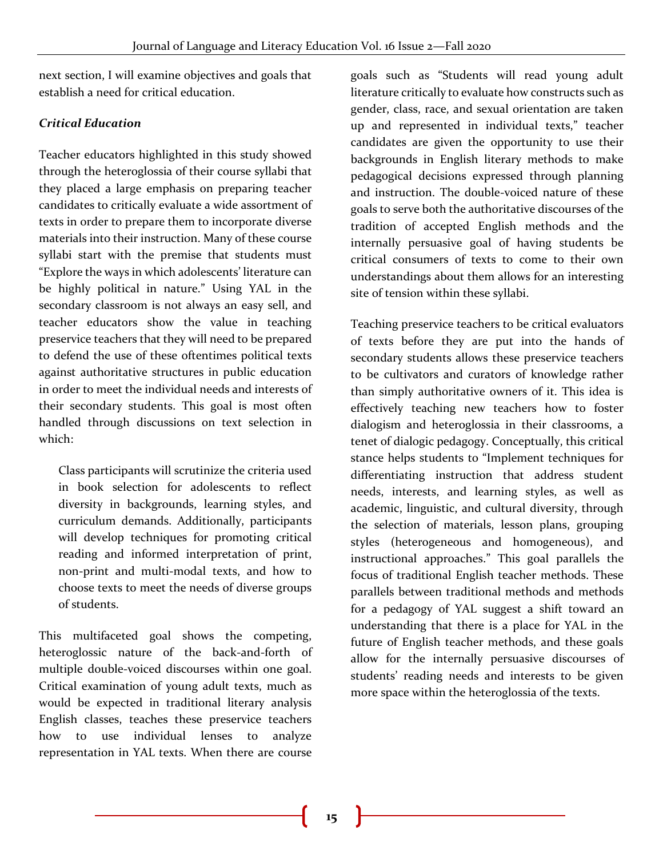next section, I will examine objectives and goals that establish a need for critical education.

## *Critical Education*

Teacher educators highlighted in this study showed through the heteroglossia of their course syllabi that they placed a large emphasis on preparing teacher candidates to critically evaluate a wide assortment of texts in order to prepare them to incorporate diverse materials into their instruction. Many of these course syllabi start with the premise that students must "Explore the ways in which adolescents' literature can be highly political in nature." Using YAL in the secondary classroom is not always an easy sell, and teacher educators show the value in teaching preservice teachers that they will need to be prepared to defend the use of these oftentimes political texts against authoritative structures in public education in order to meet the individual needs and interests of their secondary students. This goal is most often handled through discussions on text selection in which:

Class participants will scrutinize the criteria used in book selection for adolescents to reflect diversity in backgrounds, learning styles, and curriculum demands. Additionally, participants will develop techniques for promoting critical reading and informed interpretation of print, non-print and multi-modal texts, and how to choose texts to meet the needs of diverse groups of students.

This multifaceted goal shows the competing, heteroglossic nature of the back-and-forth of multiple double-voiced discourses within one goal. Critical examination of young adult texts, much as would be expected in traditional literary analysis English classes, teaches these preservice teachers how to use individual lenses to analyze representation in YAL texts. When there are course

goals such as "Students will read young adult literature critically to evaluate how constructs such as gender, class, race, and sexual orientation are taken up and represented in individual texts," teacher candidates are given the opportunity to use their backgrounds in English literary methods to make pedagogical decisions expressed through planning and instruction. The double-voiced nature of these goals to serve both the authoritative discourses of the tradition of accepted English methods and the internally persuasive goal of having students be critical consumers of texts to come to their own understandings about them allows for an interesting site of tension within these syllabi.

Teaching preservice teachers to be critical evaluators of texts before they are put into the hands of secondary students allows these preservice teachers to be cultivators and curators of knowledge rather than simply authoritative owners of it. This idea is effectively teaching new teachers how to foster dialogism and heteroglossia in their classrooms, a tenet of dialogic pedagogy. Conceptually, this critical stance helps students to "Implement techniques for differentiating instruction that address student needs, interests, and learning styles, as well as academic, linguistic, and cultural diversity, through the selection of materials, lesson plans, grouping styles (heterogeneous and homogeneous), and instructional approaches." This goal parallels the focus of traditional English teacher methods. These parallels between traditional methods and methods for a pedagogy of YAL suggest a shift toward an understanding that there is a place for YAL in the future of English teacher methods, and these goals allow for the internally persuasive discourses of students' reading needs and interests to be given more space within the heteroglossia of the texts.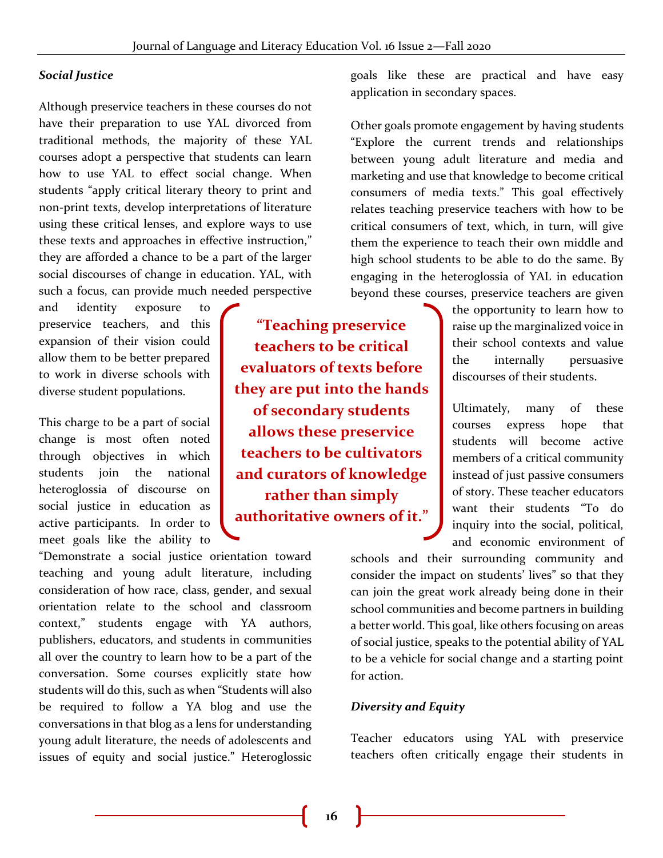## *Social Justice*

Although preservice teachers in these courses do not have their preparation to use YAL divorced from traditional methods, the majority of these YAL courses adopt a perspective that students can learn how to use YAL to effect social change. When students "apply critical literary theory to print and non-print texts, develop interpretations of literature using these critical lenses, and explore ways to use these texts and approaches in effective instruction," they are afforded a chance to be a part of the larger social discourses of change in education. YAL, with such a focus, can provide much needed perspective

and identity exposure to preservice teachers, and this expansion of their vision could allow them to be better prepared to work in diverse schools with diverse student populations.

This charge to be a part of social change is most often noted through objectives in which students join the national heteroglossia of discourse on social justice in education as active participants. In order to meet goals like the ability to

"Demonstrate a social justice orientation toward teaching and young adult literature, including consideration of how race, class, gender, and sexual orientation relate to the school and classroom context," students engage with YA authors, publishers, educators, and students in communities all over the country to learn how to be a part of the conversation. Some courses explicitly state how students will do this, such as when "Students will also be required to follow a YA blog and use the conversations in that blog as a lens for understanding young adult literature, the needs of adolescents and issues of equity and social justice." Heteroglossic

**"Teaching preservice teachers to be critical evaluators of texts before they are put into the hands of secondary students allows these preservice teachers to be cultivators and curators of knowledge rather than simply authoritative owners of it."**

goals like these are practical and have easy application in secondary spaces.

Other goals promote engagement by having students "Explore the current trends and relationships between young adult literature and media and marketing and use that knowledge to become critical consumers of media texts." This goal effectively relates teaching preservice teachers with how to be critical consumers of text, which, in turn, will give them the experience to teach their own middle and high school students to be able to do the same. By engaging in the heteroglossia of YAL in education beyond these courses, preservice teachers are given

> the opportunity to learn how to raise up the marginalized voice in their school contexts and value the internally persuasive discourses of their students.

> Ultimately, many of these courses express hope that students will become active members of a critical community instead of just passive consumers of story. These teacher educators want their students "To do inquiry into the social, political, and economic environment of

schools and their surrounding community and consider the impact on students' lives" so that they can join the great work already being done in their school communities and become partners in building a better world. This goal, like others focusing on areas of social justice, speaks to the potential ability of YAL to be a vehicle for social change and a starting point for action.

#### *Diversity and Equity*

Teacher educators using YAL with preservice teachers often critically engage their students in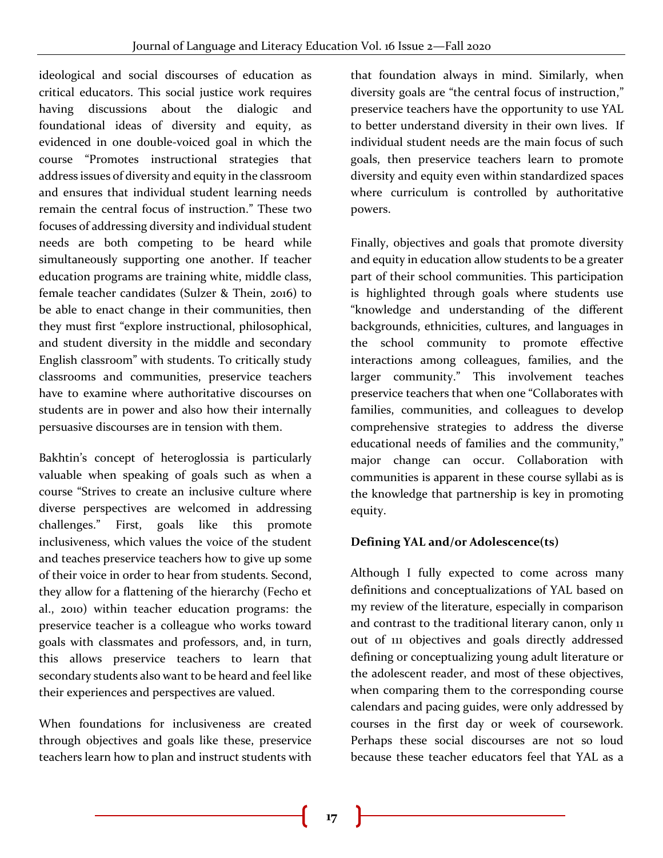ideological and social discourses of education as critical educators. This social justice work requires having discussions about the dialogic and foundational ideas of diversity and equity, as evidenced in one double-voiced goal in which the course "Promotes instructional strategies that address issues of diversity and equity in the classroom and ensures that individual student learning needs remain the central focus of instruction." These two focuses of addressing diversity and individual student needs are both competing to be heard while simultaneously supporting one another. If teacher education programs are training white, middle class, female teacher candidates (Sulzer & Thein, 2016) to be able to enact change in their communities, then they must first "explore instructional, philosophical, and student diversity in the middle and secondary English classroom" with students. To critically study classrooms and communities, preservice teachers have to examine where authoritative discourses on students are in power and also how their internally persuasive discourses are in tension with them.

Bakhtin's concept of heteroglossia is particularly valuable when speaking of goals such as when a course "Strives to create an inclusive culture where diverse perspectives are welcomed in addressing challenges." First, goals like this promote inclusiveness, which values the voice of the student and teaches preservice teachers how to give up some of their voice in order to hear from students. Second, they allow for a flattening of the hierarchy (Fecho et al., 2010) within teacher education programs: the preservice teacher is a colleague who works toward goals with classmates and professors, and, in turn, this allows preservice teachers to learn that secondary students also want to be heard and feel like their experiences and perspectives are valued.

When foundations for inclusiveness are created through objectives and goals like these, preservice teachers learn how to plan and instruct students with

that foundation always in mind. Similarly, when diversity goals are "the central focus of instruction," preservice teachers have the opportunity to use YAL to better understand diversity in their own lives. If individual student needs are the main focus of such goals, then preservice teachers learn to promote diversity and equity even within standardized spaces where curriculum is controlled by authoritative powers.

Finally, objectives and goals that promote diversity and equity in education allow students to be a greater part of their school communities. This participation is highlighted through goals where students use "knowledge and understanding of the different backgrounds, ethnicities, cultures, and languages in the school community to promote effective interactions among colleagues, families, and the larger community." This involvement teaches preservice teachers that when one "Collaborates with families, communities, and colleagues to develop comprehensive strategies to address the diverse educational needs of families and the community," major change can occur. Collaboration with communities is apparent in these course syllabi as is the knowledge that partnership is key in promoting equity.

## **Defining YAL and/or Adolescence(ts)**

Although I fully expected to come across many definitions and conceptualizations of YAL based on my review of the literature, especially in comparison and contrast to the traditional literary canon, only 11 out of 111 objectives and goals directly addressed defining or conceptualizing young adult literature or the adolescent reader, and most of these objectives, when comparing them to the corresponding course calendars and pacing guides, were only addressed by courses in the first day or week of coursework. Perhaps these social discourses are not so loud because these teacher educators feel that YAL as a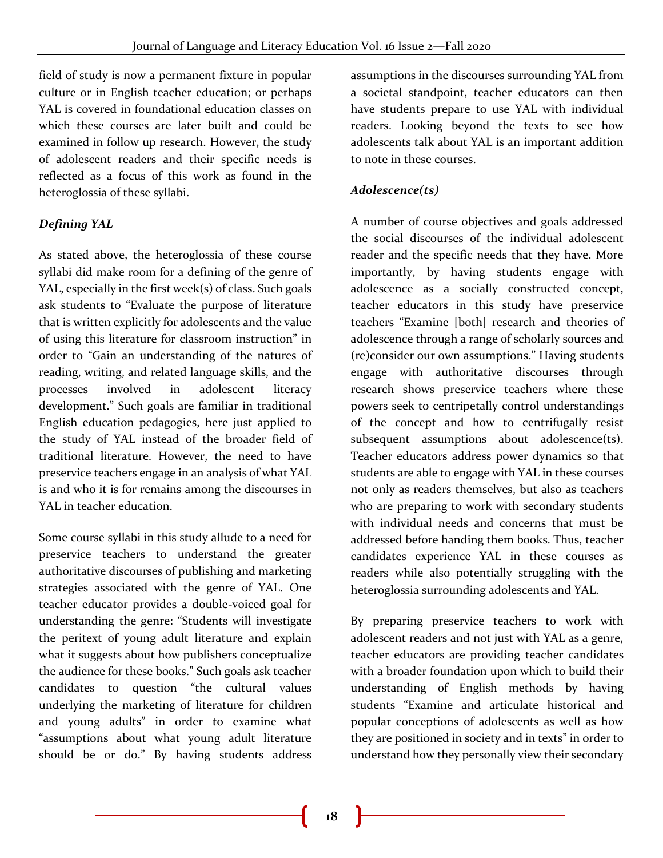field of study is now a permanent fixture in popular culture or in English teacher education; or perhaps YAL is covered in foundational education classes on which these courses are later built and could be examined in follow up research. However, the study of adolescent readers and their specific needs is reflected as a focus of this work as found in the heteroglossia of these syllabi.

## *Defining YAL*

As stated above, the heteroglossia of these course syllabi did make room for a defining of the genre of YAL, especially in the first week(s) of class. Such goals ask students to "Evaluate the purpose of literature that is written explicitly for adolescents and the value of using this literature for classroom instruction" in order to "Gain an understanding of the natures of reading, writing, and related language skills, and the processes involved in adolescent literacy development." Such goals are familiar in traditional English education pedagogies, here just applied to the study of YAL instead of the broader field of traditional literature. However, the need to have preservice teachers engage in an analysis of what YAL is and who it is for remains among the discourses in YAL in teacher education.

Some course syllabi in this study allude to a need for preservice teachers to understand the greater authoritative discourses of publishing and marketing strategies associated with the genre of YAL. One teacher educator provides a double-voiced goal for understanding the genre: "Students will investigate the peritext of young adult literature and explain what it suggests about how publishers conceptualize the audience for these books." Such goals ask teacher candidates to question "the cultural values underlying the marketing of literature for children and young adults" in order to examine what "assumptions about what young adult literature should be or do." By having students address

assumptions in the discourses surrounding YAL from a societal standpoint, teacher educators can then have students prepare to use YAL with individual readers. Looking beyond the texts to see how adolescents talk about YAL is an important addition to note in these courses.

## *Adolescence(ts)*

A number of course objectives and goals addressed the social discourses of the individual adolescent reader and the specific needs that they have. More importantly, by having students engage with adolescence as a socially constructed concept, teacher educators in this study have preservice teachers "Examine [both] research and theories of adolescence through a range of scholarly sources and (re)consider our own assumptions." Having students engage with authoritative discourses through research shows preservice teachers where these powers seek to centripetally control understandings of the concept and how to centrifugally resist subsequent assumptions about adolescence(ts). Teacher educators address power dynamics so that students are able to engage with YAL in these courses not only as readers themselves, but also as teachers who are preparing to work with secondary students with individual needs and concerns that must be addressed before handing them books. Thus, teacher candidates experience YAL in these courses as readers while also potentially struggling with the heteroglossia surrounding adolescents and YAL.

By preparing preservice teachers to work with adolescent readers and not just with YAL as a genre, teacher educators are providing teacher candidates with a broader foundation upon which to build their understanding of English methods by having students "Examine and articulate historical and popular conceptions of adolescents as well as how they are positioned in society and in texts" in order to understand how they personally view their secondary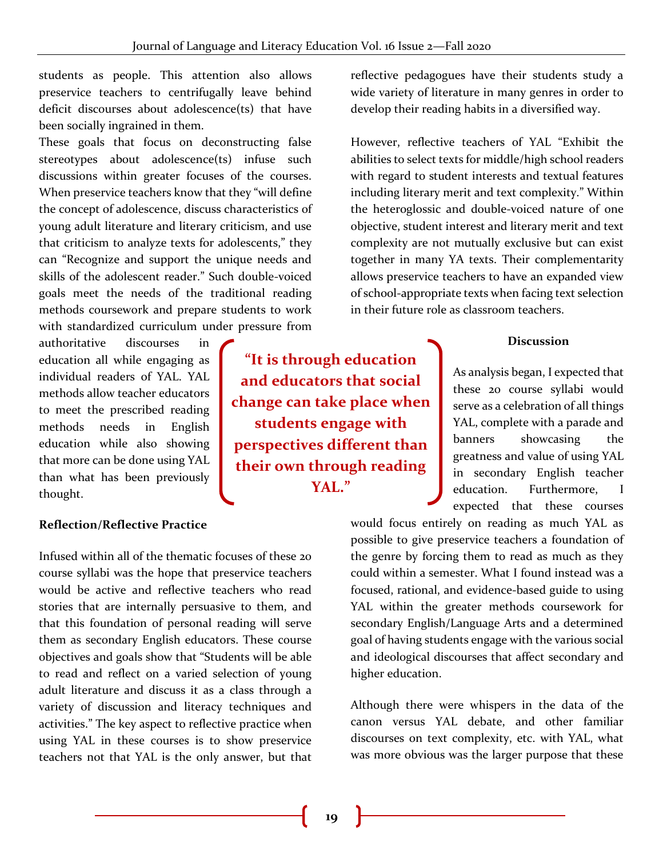students as people. This attention also allows preservice teachers to centrifugally leave behind deficit discourses about adolescence(ts) that have been socially ingrained in them.

These goals that focus on deconstructing false stereotypes about adolescence(ts) infuse such discussions within greater focuses of the courses. When preservice teachers know that they "will define the concept of adolescence, discuss characteristics of young adult literature and literary criticism, and use that criticism to analyze texts for adolescents," they can "Recognize and support the unique needs and skills of the adolescent reader." Such double-voiced goals meet the needs of the traditional reading methods coursework and prepare students to work with standardized curriculum under pressure from

authoritative discourses in education all while engaging as individual readers of YAL. YAL methods allow teacher educators to meet the prescribed reading methods needs in English education while also showing that more can be done using YAL than what has been previously thought.

#### **Reflection/Reflective Practice**

Infused within all of the thematic focuses of these 20 course syllabi was the hope that preservice teachers would be active and reflective teachers who read stories that are internally persuasive to them, and that this foundation of personal reading will serve them as secondary English educators. These course objectives and goals show that "Students will be able to read and reflect on a varied selection of young adult literature and discuss it as a class through a variety of discussion and literacy techniques and activities." The key aspect to reflective practice when using YAL in these courses is to show preservice teachers not that YAL is the only answer, but that

**"It is through education and educators that social change can take place when students engage with perspectives different than their own through reading YAL."**

reflective pedagogues have their students study a wide variety of literature in many genres in order to develop their reading habits in a diversified way.

However, reflective teachers of YAL "Exhibit the abilities to select texts for middle/high school readers with regard to student interests and textual features including literary merit and text complexity." Within the heteroglossic and double-voiced nature of one objective, student interest and literary merit and text complexity are not mutually exclusive but can exist together in many YA texts. Their complementarity allows preservice teachers to have an expanded view of school-appropriate texts when facing text selection in their future role as classroom teachers.

#### **Discussion**

As analysis began, I expected that these 20 course syllabi would serve as a celebration of all things YAL, complete with a parade and banners showcasing the greatness and value of using YAL in secondary English teacher education. Furthermore, I expected that these courses

would focus entirely on reading as much YAL as possible to give preservice teachers a foundation of the genre by forcing them to read as much as they could within a semester. What I found instead was a focused, rational, and evidence-based guide to using YAL within the greater methods coursework for secondary English/Language Arts and a determined goal of having students engage with the various social and ideological discourses that affect secondary and higher education.

Although there were whispers in the data of the canon versus YAL debate, and other familiar discourses on text complexity, etc. with YAL, what was more obvious was the larger purpose that these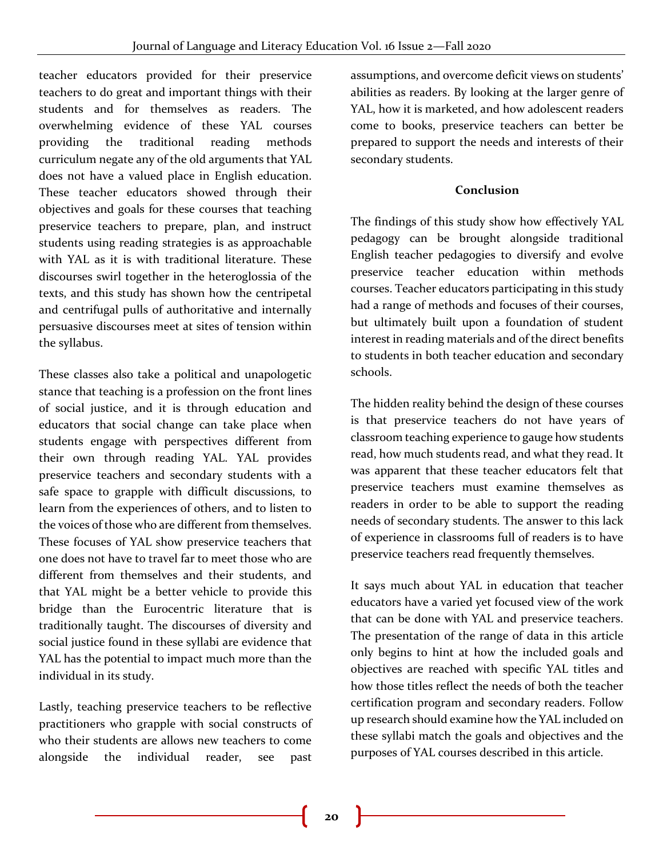teacher educators provided for their preservice teachers to do great and important things with their students and for themselves as readers. The overwhelming evidence of these YAL courses providing the traditional reading methods curriculum negate any of the old arguments that YAL does not have a valued place in English education. These teacher educators showed through their objectives and goals for these courses that teaching preservice teachers to prepare, plan, and instruct students using reading strategies is as approachable with YAL as it is with traditional literature. These discourses swirl together in the heteroglossia of the texts, and this study has shown how the centripetal and centrifugal pulls of authoritative and internally persuasive discourses meet at sites of tension within the syllabus.

These classes also take a political and unapologetic stance that teaching is a profession on the front lines of social justice, and it is through education and educators that social change can take place when students engage with perspectives different from their own through reading YAL. YAL provides preservice teachers and secondary students with a safe space to grapple with difficult discussions, to learn from the experiences of others, and to listen to the voices of those who are different from themselves. These focuses of YAL show preservice teachers that one does not have to travel far to meet those who are different from themselves and their students, and that YAL might be a better vehicle to provide this bridge than the Eurocentric literature that is traditionally taught. The discourses of diversity and social justice found in these syllabi are evidence that YAL has the potential to impact much more than the individual in its study.

Lastly, teaching preservice teachers to be reflective practitioners who grapple with social constructs of who their students are allows new teachers to come alongside the individual reader, see past

assumptions, and overcome deficit views on students' abilities as readers. By looking at the larger genre of YAL, how it is marketed, and how adolescent readers come to books, preservice teachers can better be prepared to support the needs and interests of their secondary students.

## **Conclusion**

The findings of this study show how effectively YAL pedagogy can be brought alongside traditional English teacher pedagogies to diversify and evolve preservice teacher education within methods courses. Teacher educators participating in this study had a range of methods and focuses of their courses, but ultimately built upon a foundation of student interest in reading materials and of the direct benefits to students in both teacher education and secondary schools.

The hidden reality behind the design of these courses is that preservice teachers do not have years of classroom teaching experience to gauge how students read, how much students read, and what they read. It was apparent that these teacher educators felt that preservice teachers must examine themselves as readers in order to be able to support the reading needs of secondary students. The answer to this lack of experience in classrooms full of readers is to have preservice teachers read frequently themselves.

It says much about YAL in education that teacher educators have a varied yet focused view of the work that can be done with YAL and preservice teachers. The presentation of the range of data in this article only begins to hint at how the included goals and objectives are reached with specific YAL titles and how those titles reflect the needs of both the teacher certification program and secondary readers. Follow up research should examine how the YAL included on these syllabi match the goals and objectives and the purposes of YAL courses described in this article.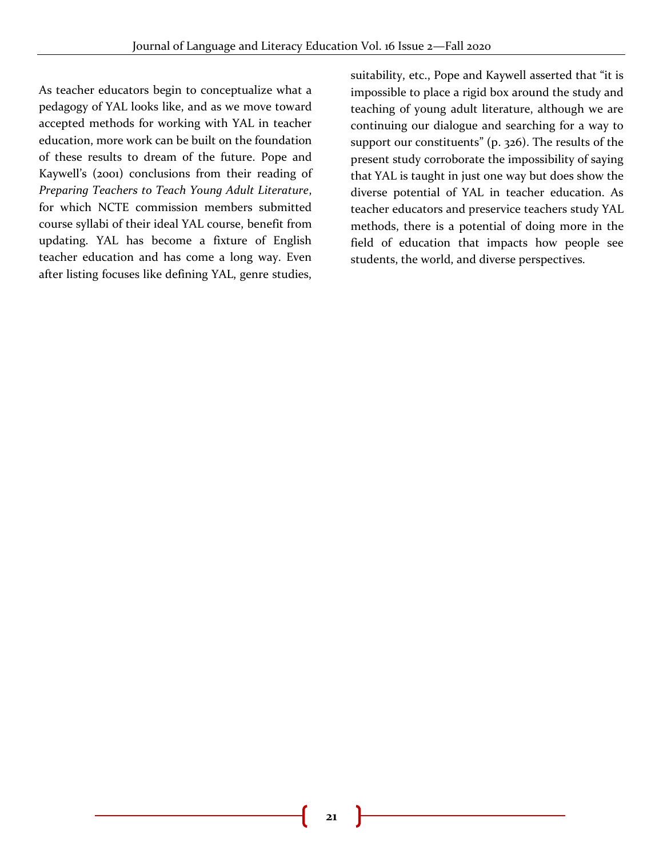As teacher educators begin to conceptualize what a pedagogy of YAL looks like, and as we move toward accepted methods for working with YAL in teacher education, more work can be built on the foundation of these results to dream of the future. Pope and Kaywell's (2001) conclusions from their reading of *Preparing Teachers to Teach Young Adult Literature*, for which NCTE commission members submitted course syllabi of their ideal YAL course, benefit from updating. YAL has become a fixture of English teacher education and has come a long way. Even after listing focuses like defining YAL, genre studies,

suitability, etc., Pope and Kaywell asserted that "it is impossible to place a rigid box around the study and teaching of young adult literature, although we are continuing our dialogue and searching for a way to support our constituents" (p. 326). The results of the present study corroborate the impossibility of saying that YAL is taught in just one way but does show the diverse potential of YAL in teacher education. As teacher educators and preservice teachers study YAL methods, there is a potential of doing more in the field of education that impacts how people see students, the world, and diverse perspectives.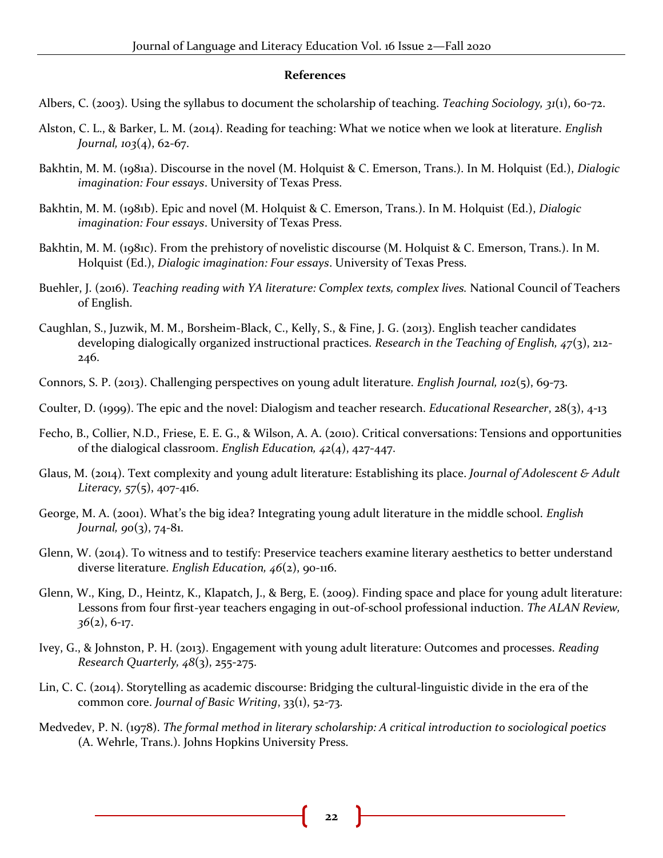#### **References**

Albers, C. (2003). Using the syllabus to document the scholarship of teaching. *Teaching Sociology, 31*(1), 60-72.

- Alston, C. L., & Barker, L. M. (2014). Reading for teaching: What we notice when we look at literature. *English Journal, 103*(4), 62-67.
- Bakhtin, M. M. (1981a). Discourse in the novel (M. Holquist & C. Emerson, Trans.). In M. Holquist (Ed.), *Dialogic imagination: Four essays*. University of Texas Press.
- Bakhtin, M. M. (1981b). Epic and novel (M. Holquist & C. Emerson, Trans.). In M. Holquist (Ed.), *Dialogic imagination: Four essays*. University of Texas Press.
- Bakhtin, M. M. (1981c). From the prehistory of novelistic discourse (M. Holquist & C. Emerson, Trans.). In M. Holquist (Ed.), *Dialogic imagination: Four essays*. University of Texas Press.
- Buehler, J. (2016). *Teaching reading with YA literature: Complex texts, complex lives.* National Council of Teachers of English.
- Caughlan, S., Juzwik, M. M., Borsheim-Black, C., Kelly, S., & Fine, J. G. (2013). English teacher candidates developing dialogically organized instructional practices. *Research in the Teaching of English, 47*(3), 212- 246.
- Connors, S. P. (2013). Challenging perspectives on young adult literature. *English Journal, 102*(5), 69-73.
- Coulter, D. (1999). The epic and the novel: Dialogism and teacher research. *Educational Researcher*, 28(3), 4-13
- Fecho, B., Collier, N.D., Friese, E. E. G., & Wilson, A. A. (2010). Critical conversations: Tensions and opportunities of the dialogical classroom. *English Education, 42*(4), 427-447.
- Glaus, M. (2014). Text complexity and young adult literature: Establishing its place. *Journal of Adolescent & Adult Literacy, 57*(5), 407-416.
- George, M. A. (2001). What's the big idea? Integrating young adult literature in the middle school. *English Journal, 90*(3), 74-81.
- Glenn, W. (2014). To witness and to testify: Preservice teachers examine literary aesthetics to better understand diverse literature. *English Education, 46*(2), 90-116.
- Glenn, W., King, D., Heintz, K., Klapatch, J., & Berg, E. (2009). Finding space and place for young adult literature: Lessons from four first-year teachers engaging in out-of-school professional induction. *The ALAN Review, 36*(2), 6-17.
- Ivey, G., & Johnston, P. H. (2013). Engagement with young adult literature: Outcomes and processes. *Reading Research Quarterly, 48*(3), 255-275.
- Lin, C. C. (2014). Storytelling as academic discourse: Bridging the cultural-linguistic divide in the era of the common core. *Journal of Basic Writing*, 33(1), 52-73.
- Medvedev, P. N. (1978). *The formal method in literary scholarship: A critical introduction to sociological poetics* (A. Wehrle, Trans.). Johns Hopkins University Press.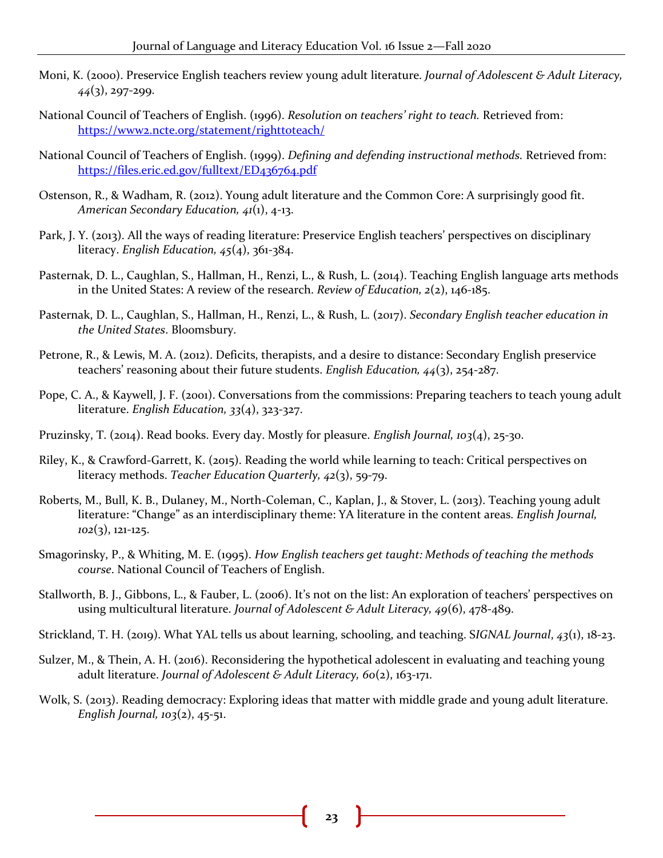- Moni, K. (2000). Preservice English teachers review young adult literature. *Journal of Adolescent & Adult Literacy, 44*(3), 297-299.
- National Council of Teachers of English. (1996). *Resolution on teachers' right to teach.* Retrieved from: <https://www2.ncte.org/statement/righttoteach/>
- National Council of Teachers of English. (1999). *Defining and defending instructional methods.* Retrieved from: <https://files.eric.ed.gov/fulltext/ED436764.pdf>
- Ostenson, R., & Wadham, R. (2012). Young adult literature and the Common Core: A surprisingly good fit. *American Secondary Education, 41*(1), 4-13.
- Park, J. Y. (2013). All the ways of reading literature: Preservice English teachers' perspectives on disciplinary literacy. *English Education, 45*(4), 361-384.
- Pasternak, D. L., Caughlan, S., Hallman, H., Renzi, L., & Rush, L. (2014). Teaching English language arts methods in the United States: A review of the research. *Review of Education, 2*(2), 146-185.
- Pasternak, D. L., Caughlan, S., Hallman, H., Renzi, L., & Rush, L. (2017). *Secondary English teacher education in the United States*. Bloomsbury.
- Petrone, R., & Lewis, M. A. (2012). Deficits, therapists, and a desire to distance: Secondary English preservice teachers' reasoning about their future students. *English Education, 44*(3), 254-287.
- Pope, C. A., & Kaywell, J. F. (2001). Conversations from the commissions: Preparing teachers to teach young adult literature. *English Education, 33*(4), 323-327.
- Pruzinsky, T. (2014). Read books. Every day. Mostly for pleasure. *English Journal, 103*(4), 25-30.
- Riley, K., & Crawford-Garrett, K. (2015). Reading the world while learning to teach: Critical perspectives on literacy methods. *Teacher Education Quarterly, 42*(3), 59-79.
- Roberts, M., Bull, K. B., Dulaney, M., North-Coleman, C., Kaplan, J., & Stover, L. (2013). Teaching young adult literature: "Change" as an interdisciplinary theme: YA literature in the content areas. *English Journal, 102*(3), 121-125.
- Smagorinsky, P., & Whiting, M. E. (1995). *How English teachers get taught: Methods of teaching the methods course*. National Council of Teachers of English.
- Stallworth, B. J., Gibbons, L., & Fauber, L. (2006). It's not on the list: An exploration of teachers' perspectives on using multicultural literature. *Journal of Adolescent & Adult Literacy, 49*(6), 478-489.
- Strickland, T. H. (2019). What YAL tells us about learning, schooling, and teaching. S*IGNAL Journal*, *43*(1), 18-23.
- Sulzer, M., & Thein, A. H. (2016). Reconsidering the hypothetical adolescent in evaluating and teaching young adult literature. *Journal of Adolescent & Adult Literacy, 60*(2), 163-171.
- Wolk, S. (2013). Reading democracy: Exploring ideas that matter with middle grade and young adult literature. *English Journal, 103*(2), 45-51.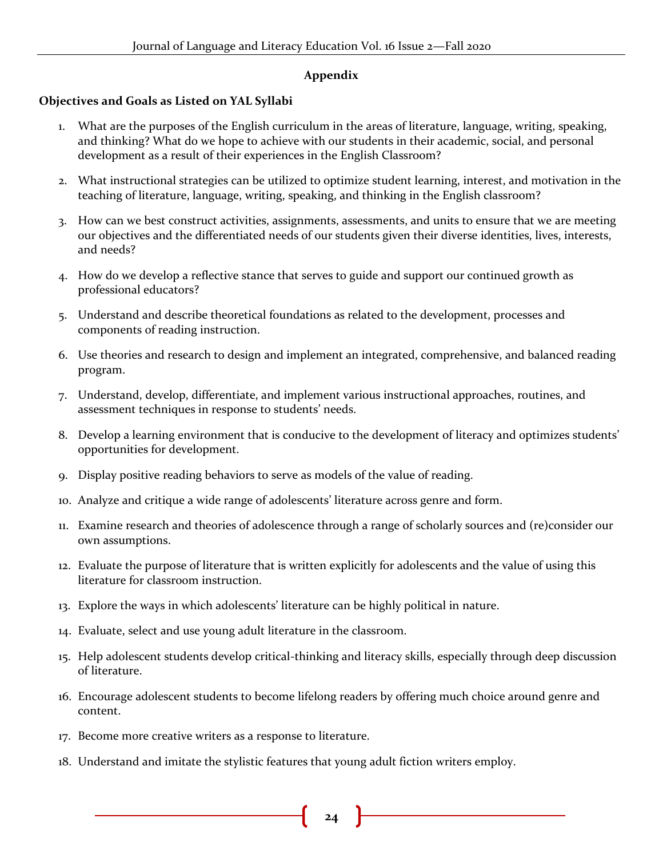## **Appendix**

## **Objectives and Goals as Listed on YAL Syllabi**

- 1. What are the purposes of the English curriculum in the areas of literature, language, writing, speaking, and thinking? What do we hope to achieve with our students in their academic, social, and personal development as a result of their experiences in the English Classroom?
- 2. What instructional strategies can be utilized to optimize student learning, interest, and motivation in the teaching of literature, language, writing, speaking, and thinking in the English classroom?
- 3. How can we best construct activities, assignments, assessments, and units to ensure that we are meeting our objectives and the differentiated needs of our students given their diverse identities, lives, interests, and needs?
- 4. How do we develop a reflective stance that serves to guide and support our continued growth as professional educators?
- 5. Understand and describe theoretical foundations as related to the development, processes and components of reading instruction.
- 6. Use theories and research to design and implement an integrated, comprehensive, and balanced reading program.
- 7. Understand, develop, differentiate, and implement various instructional approaches, routines, and assessment techniques in response to students' needs.
- 8. Develop a learning environment that is conducive to the development of literacy and optimizes students' opportunities for development.
- 9. Display positive reading behaviors to serve as models of the value of reading.
- 10. Analyze and critique a wide range of adolescents' literature across genre and form.
- 11. Examine research and theories of adolescence through a range of scholarly sources and (re)consider our own assumptions.
- 12. Evaluate the purpose of literature that is written explicitly for adolescents and the value of using this literature for classroom instruction.
- 13. Explore the ways in which adolescents' literature can be highly political in nature.
- 14. Evaluate, select and use young adult literature in the classroom.
- 15. Help adolescent students develop critical-thinking and literacy skills, especially through deep discussion of literature.
- 16. Encourage adolescent students to become lifelong readers by offering much choice around genre and content.
- 17. Become more creative writers as a response to literature.
- 18. Understand and imitate the stylistic features that young adult fiction writers employ.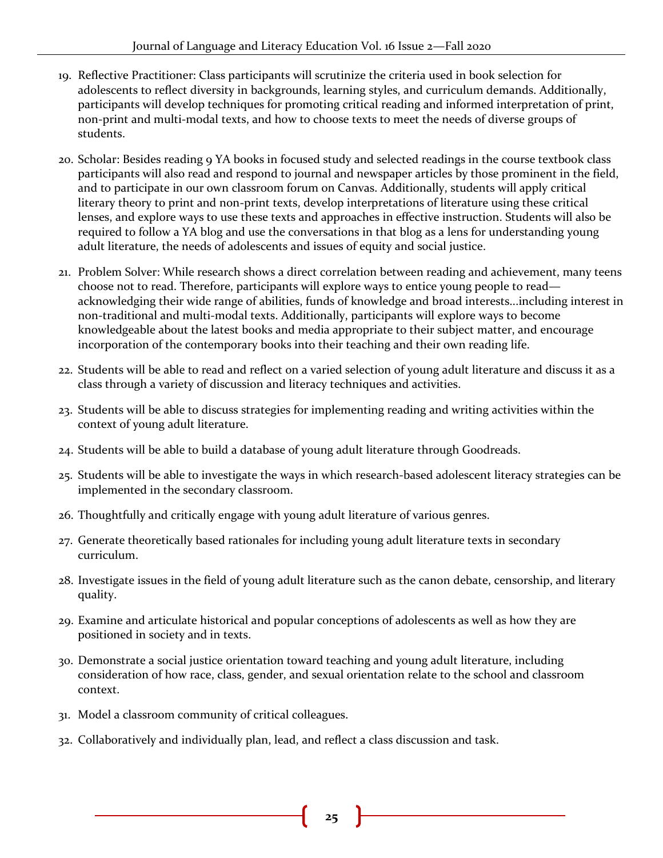- 19. Reflective Practitioner: Class participants will scrutinize the criteria used in book selection for adolescents to reflect diversity in backgrounds, learning styles, and curriculum demands. Additionally, participants will develop techniques for promoting critical reading and informed interpretation of print, non-print and multi-modal texts, and how to choose texts to meet the needs of diverse groups of students.
- 20. Scholar: Besides reading 9 YA books in focused study and selected readings in the course textbook class participants will also read and respond to journal and newspaper articles by those prominent in the field, and to participate in our own classroom forum on Canvas. Additionally, students will apply critical literary theory to print and non-print texts, develop interpretations of literature using these critical lenses, and explore ways to use these texts and approaches in effective instruction. Students will also be required to follow a YA blog and use the conversations in that blog as a lens for understanding young adult literature, the needs of adolescents and issues of equity and social justice.
- 21. Problem Solver: While research shows a direct correlation between reading and achievement, many teens choose not to read. Therefore, participants will explore ways to entice young people to read acknowledging their wide range of abilities, funds of knowledge and broad interests...including interest in non-traditional and multi-modal texts. Additionally, participants will explore ways to become knowledgeable about the latest books and media appropriate to their subject matter, and encourage incorporation of the contemporary books into their teaching and their own reading life.
- 22. Students will be able to read and reflect on a varied selection of young adult literature and discuss it as a class through a variety of discussion and literacy techniques and activities.
- 23. Students will be able to discuss strategies for implementing reading and writing activities within the context of young adult literature.
- 24. Students will be able to build a database of young adult literature through Goodreads.
- 25. Students will be able to investigate the ways in which research-based adolescent literacy strategies can be implemented in the secondary classroom.
- 26. Thoughtfully and critically engage with young adult literature of various genres.
- 27. Generate theoretically based rationales for including young adult literature texts in secondary curriculum.
- 28. Investigate issues in the field of young adult literature such as the canon debate, censorship, and literary quality.
- 29. Examine and articulate historical and popular conceptions of adolescents as well as how they are positioned in society and in texts.
- 30. Demonstrate a social justice orientation toward teaching and young adult literature, including consideration of how race, class, gender, and sexual orientation relate to the school and classroom context.
- 31. Model a classroom community of critical colleagues.
- 32. Collaboratively and individually plan, lead, and reflect a class discussion and task.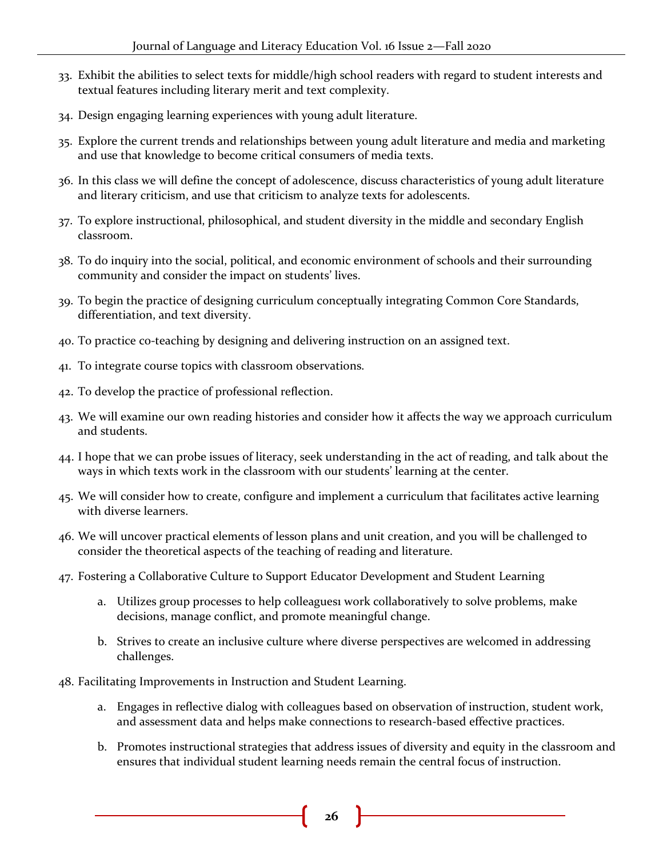- 33. Exhibit the abilities to select texts for middle/high school readers with regard to student interests and textual features including literary merit and text complexity.
- 34. Design engaging learning experiences with young adult literature.
- 35. Explore the current trends and relationships between young adult literature and media and marketing and use that knowledge to become critical consumers of media texts.
- 36. In this class we will define the concept of adolescence, discuss characteristics of young adult literature and literary criticism, and use that criticism to analyze texts for adolescents.
- 37. To explore instructional, philosophical, and student diversity in the middle and secondary English classroom.
- 38. To do inquiry into the social, political, and economic environment of schools and their surrounding community and consider the impact on students' lives.
- 39. To begin the practice of designing curriculum conceptually integrating Common Core Standards, differentiation, and text diversity.
- 40. To practice co-teaching by designing and delivering instruction on an assigned text.
- 41. To integrate course topics with classroom observations.
- 42. To develop the practice of professional reflection.
- 43. We will examine our own reading histories and consider how it affects the way we approach curriculum and students.
- 44. I hope that we can probe issues of literacy, seek understanding in the act of reading, and talk about the ways in which texts work in the classroom with our students' learning at the center.
- 45. We will consider how to create, configure and implement a curriculum that facilitates active learning with diverse learners.
- 46. We will uncover practical elements of lesson plans and unit creation, and you will be challenged to consider the theoretical aspects of the teaching of reading and literature.
- 47. Fostering a Collaborative Culture to Support Educator Development and Student Learning
	- a. Utilizes group processes to help colleagues1 work collaboratively to solve problems, make decisions, manage conflict, and promote meaningful change.
	- b. Strives to create an inclusive culture where diverse perspectives are welcomed in addressing challenges.
- 48. Facilitating Improvements in Instruction and Student Learning.
	- a. Engages in reflective dialog with colleagues based on observation of instruction, student work, and assessment data and helps make connections to research-based effective practices.
	- b. Promotes instructional strategies that address issues of diversity and equity in the classroom and ensures that individual student learning needs remain the central focus of instruction.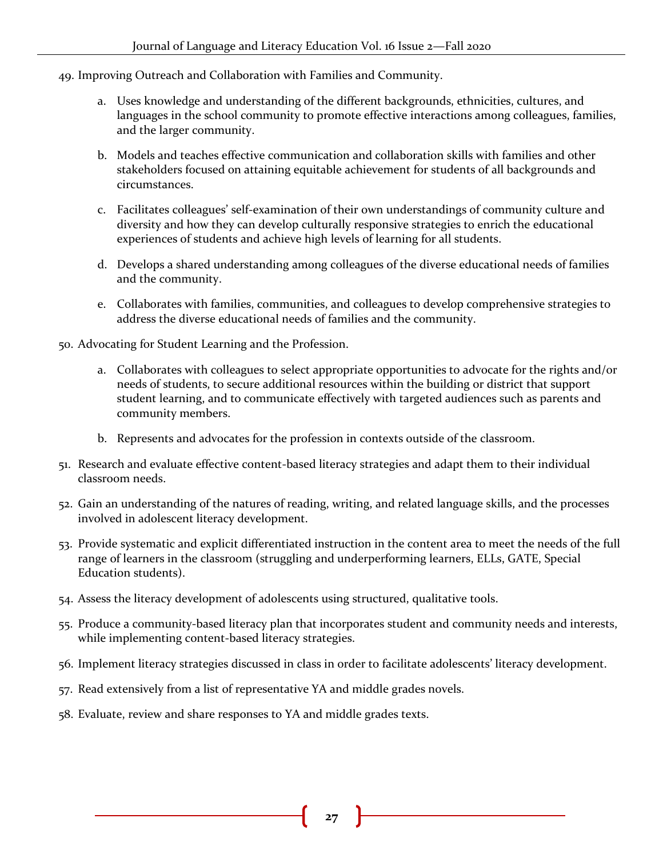- 49. Improving Outreach and Collaboration with Families and Community.
	- a. Uses knowledge and understanding of the different backgrounds, ethnicities, cultures, and languages in the school community to promote effective interactions among colleagues, families, and the larger community.
	- b. Models and teaches effective communication and collaboration skills with families and other stakeholders focused on attaining equitable achievement for students of all backgrounds and circumstances.
	- c. Facilitates colleagues' self-examination of their own understandings of community culture and diversity and how they can develop culturally responsive strategies to enrich the educational experiences of students and achieve high levels of learning for all students.
	- d. Develops a shared understanding among colleagues of the diverse educational needs of families and the community.
	- e. Collaborates with families, communities, and colleagues to develop comprehensive strategies to address the diverse educational needs of families and the community.

50. Advocating for Student Learning and the Profession.

- a. Collaborates with colleagues to select appropriate opportunities to advocate for the rights and/or needs of students, to secure additional resources within the building or district that support student learning, and to communicate effectively with targeted audiences such as parents and community members.
- b. Represents and advocates for the profession in contexts outside of the classroom.
- 51. Research and evaluate effective content-based literacy strategies and adapt them to their individual classroom needs.
- 52. Gain an understanding of the natures of reading, writing, and related language skills, and the processes involved in adolescent literacy development.
- 53. Provide systematic and explicit differentiated instruction in the content area to meet the needs of the full range of learners in the classroom (struggling and underperforming learners, ELLs, GATE, Special Education students).
- 54. Assess the literacy development of adolescents using structured, qualitative tools.
- 55. Produce a community-based literacy plan that incorporates student and community needs and interests, while implementing content-based literacy strategies.
- 56. Implement literacy strategies discussed in class in order to facilitate adolescents' literacy development.
- 57. Read extensively from a list of representative YA and middle grades novels.
- 58. Evaluate, review and share responses to YA and middle grades texts.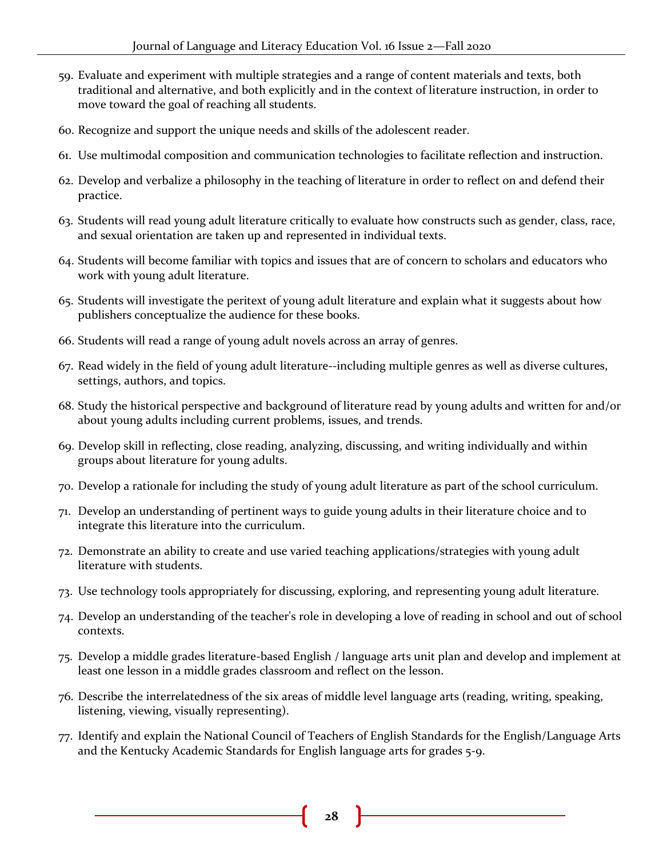- 59. Evaluate and experiment with multiple strategies and a range of content materials and texts, both traditional and alternative, and both explicitly and in the context of literature instruction, in order to move toward the goal of reaching all students.
- 60. Recognize and support the unique needs and skills of the adolescent reader.
- 61. Use multimodal composition and communication technologies to facilitate reflection and instruction.
- 62. Develop and verbalize a philosophy in the teaching of literature in order to reflect on and defend their practice.
- 63. Students will read young adult literature critically to evaluate how constructs such as gender, class, race, and sexual orientation are taken up and represented in individual texts.
- 64. Students will become familiar with topics and issues that are of concern to scholars and educators who work with young adult literature.
- 65. Students will investigate the peritext of young adult literature and explain what it suggests about how publishers conceptualize the audience for these books.
- 66. Students will read a range of young adult novels across an array of genres.
- 67. Read widely in the field of young adult literature--including multiple genres as well as diverse cultures, settings, authors, and topics.
- 68. Study the historical perspective and background of literature read by young adults and written for and/or about young adults including current problems, issues, and trends.
- 69. Develop skill in reflecting, close reading, analyzing, discussing, and writing individually and within groups about literature for young adults.
- 70. Develop a rationale for including the study of young adult literature as part of the school curriculum.
- 71. Develop an understanding of pertinent ways to guide young adults in their literature choice and to integrate this literature into the curriculum.
- 72. Demonstrate an ability to create and use varied teaching applications/strategies with young adult literature with students.
- 73. Use technology tools appropriately for discussing, exploring, and representing young adult literature.
- 74. Develop an understanding of the teacher's role in developing a love of reading in school and out of school contexts.
- 75. Develop a middle grades literature-based English / language arts unit plan and develop and implement at least one lesson in a middle grades classroom and reflect on the lesson.
- 76. Describe the interrelatedness of the six areas of middle level language arts (reading, writing, speaking, listening, viewing, visually representing).
- 77. Identify and explain the National Council of Teachers of English Standards for the English/Language Arts and the Kentucky Academic Standards for English language arts for grades 5-9.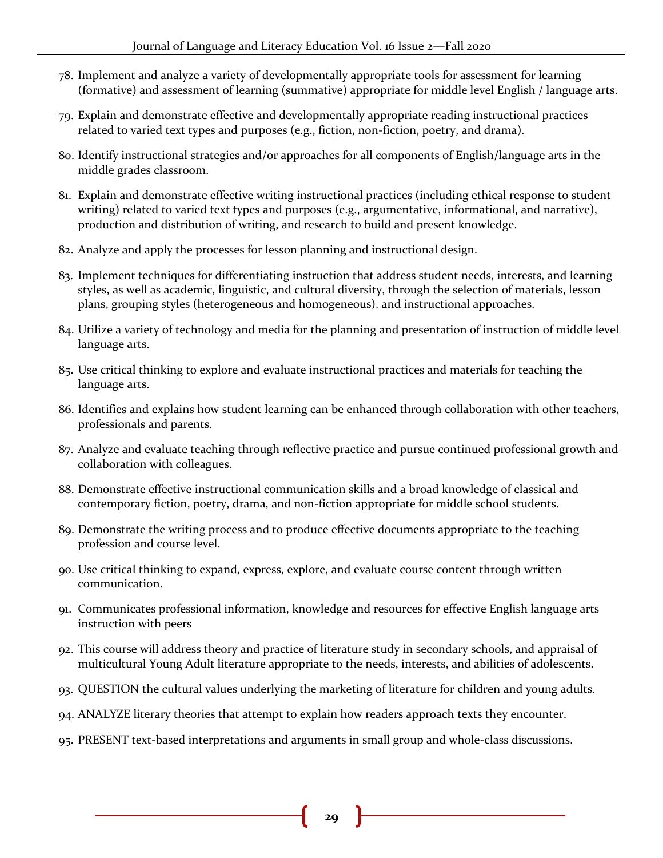- 78. Implement and analyze a variety of developmentally appropriate tools for assessment for learning (formative) and assessment of learning (summative) appropriate for middle level English / language arts.
- 79. Explain and demonstrate effective and developmentally appropriate reading instructional practices related to varied text types and purposes (e.g., fiction, non-fiction, poetry, and drama).
- 80. Identify instructional strategies and/or approaches for all components of English/language arts in the middle grades classroom.
- 81. Explain and demonstrate effective writing instructional practices (including ethical response to student writing) related to varied text types and purposes (e.g., argumentative, informational, and narrative), production and distribution of writing, and research to build and present knowledge.
- 82. Analyze and apply the processes for lesson planning and instructional design.
- 83. Implement techniques for differentiating instruction that address student needs, interests, and learning styles, as well as academic, linguistic, and cultural diversity, through the selection of materials, lesson plans, grouping styles (heterogeneous and homogeneous), and instructional approaches.
- 84. Utilize a variety of technology and media for the planning and presentation of instruction of middle level language arts.
- 85. Use critical thinking to explore and evaluate instructional practices and materials for teaching the language arts.
- 86. Identifies and explains how student learning can be enhanced through collaboration with other teachers, professionals and parents.
- 87. Analyze and evaluate teaching through reflective practice and pursue continued professional growth and collaboration with colleagues.
- 88. Demonstrate effective instructional communication skills and a broad knowledge of classical and contemporary fiction, poetry, drama, and non-fiction appropriate for middle school students.
- 89. Demonstrate the writing process and to produce effective documents appropriate to the teaching profession and course level.
- 90. Use critical thinking to expand, express, explore, and evaluate course content through written communication.
- 91. Communicates professional information, knowledge and resources for effective English language arts instruction with peers
- 92. This course will address theory and practice of literature study in secondary schools, and appraisal of multicultural Young Adult literature appropriate to the needs, interests, and abilities of adolescents.
- 93. QUESTION the cultural values underlying the marketing of literature for children and young adults.
- 94. ANALYZE literary theories that attempt to explain how readers approach texts they encounter.
- 95. PRESENT text-based interpretations and arguments in small group and whole-class discussions.